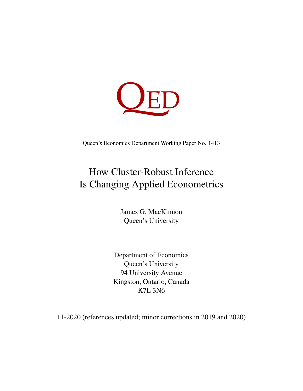

Queen's Economics Department Working Paper No. 1413

# How Cluster-Robust Inference Is Changing Applied Econometrics

James G. MacKinnon Queen's University

Department of Economics Queen's University 94 University Avenue Kingston, Ontario, Canada K7L 3N6

11-2020 (references updated; minor corrections in 2019 and 2020)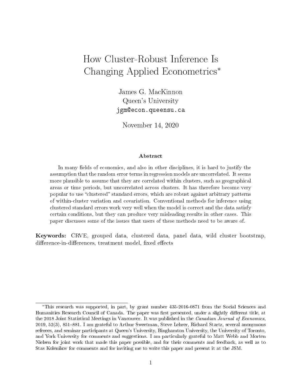## How Cluster-Robust Inference Is Changing Applied Econometrics<sup>∗</sup>

James G. MacKinnon Queen's University jgm@econ.queensu.ca

November 14, 2020

#### Abstract

In many fields of economics, and also in other disciplines, it is hard to justify the assumption that the random error terms in regression models are uncorrelated. It seems more plausible to assume that they are correlated within clusters, such as geographical areas or time periods, but uncorrelated across clusters. It has therefore become very popular to use "clustered" standard errors, which are robust against arbitrary patterns of within-cluster variation and covariation. Conventional methods for inference using clustered standard errors work very well when the model is correct and the data satisfy certain conditions, but they can produce very misleading results in other cases. This paper discusses some of the issues that users of these methods need to be aware of.

Keywords: CRVE, grouped data, clustered data, panel data, wild cluster bootstrap, difference-in-differences, treatment model, fixed effects

<sup>∗</sup>This research was supported, in part, by grant number 435-2016-0871 from the Social Sciences and Humanities Research Council of Canada. The paper was first presented, under a slightly different title, at the 2018 Joint Statistical Meetings in Vancouver. It was published in the Canadian Journal of Economics,  $2019, 52(3), 851-881.$  I am grateful to Arthur Sweetman, Steve Lehrer, Richard Startz, several anonymous referees, and seminar participants at Queen's University, Binghamton University, the University of Toronto, and York University for comments and suggestions. I am particularly grateful to Matt Webb and Morten Nielsen for joint work that made this paper possible, and for their comments and feedback, as well as to Stas Kolenikov for comments and for inviting me to write this paper and present it at the JSM.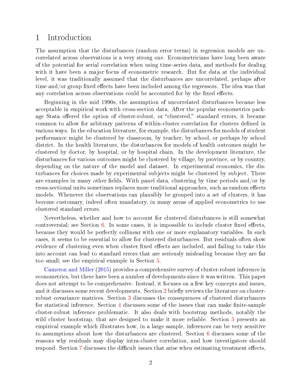#### 1 Introduction

The assumption that the disturbances (random error terms) in regression models are uncorrelated across observations is a very strong one. Econometricians have long been aware of the potential for serial correlation when using time-series data, and methods for dealing with it have been a major focus of econometric research. But for data at the individual level, it was traditionally assumed that the disturbances are uncorrelated, perhaps after time and/or group fixed effects have been included among the regressors. The idea was that any correlation across observations could be accounted for by the fixed effects.

Beginning in the mid 1990s, the assumption of uncorrelated disturbances became less acceptable in empirical work with cross-section data. After the popular econometrics package Stata offered the option of cluster-robust, or "clustered," standard errors, it became common to allow for arbitrary patterns of within-cluster correlation for clusters dened in various ways. In the education literature, for example, the disturbances for models of student performance might be clustered by classroom, by teacher, by school, or perhaps by school district. In the health literature, the disturbances for models of health outcomes might be clustered by doctor, by hospital, or by hospital chain. In the development literature, the disturbances for various outcomes might be clustered by village, by province, or by country, depending on the nature of the model and dataset. In experimental economics, the disturbances for choices made by experimental subjects might be clustered by subject. There are examples in many other fields. With panel data, clustering by time periods and/or by cross-sectional units sometimes replaces more traditional approaches, such as random effects models. Whenever the observations can plausibly be grouped into a set of clusters, it has become customary, indeed often mandatory, in many areas of applied econometrics to use clustered standard errors.

Nevertheless, whether and how to account for clustered disturbances is still somewhat controversial; see Section  $6$ . In some cases, it is impossible to include cluster fixed effects, because they would be perfectly collinear with one or more explanatory variables. In such cases, it seems to be essential to allow for clustered disturbances. But residuals often show evidence of clustering even when cluster fixed effects are included, and failing to take this into account can lead to standard errors that are seriously misleading because they are far too small; see the empirical example in Section [5.](#page-11-0)

[Cameron and Miller](#page-27-0) [\(2015\)](#page-27-0) provides a comprehensive survey of cluster-robust inference in econometrics, but there have been a number of developments since it was written. This paper does not attempt to be comprehensive. Instead, it focuses on a few key concepts and issues, and it discusses some recent developments. Section [2](#page-3-0) briefly reviews the literature on clusterrobust covariance matrices. Section [3](#page-5-0) discusses the consequences of clustered disturbances for statistical inference. Section  $4$  discusses some of the issues that can make finite-sample cluster-robust inference problematic. It also deals with bootstrap methods, notably the wild cluster bootstrap, that are designed to make it more reliable. Section [5](#page-11-0) presents an empirical example which illustrates how, in a large sample, inferences can be very sensitive to assumptions about how the disturbances are clustered. Section [6](#page-15-0) discusses some of the reasons why residuals may display intra-cluster correlation, and how investigators should respond. Section [7](#page-17-0) discusses the difficult issues that arise when estimating treatment effects,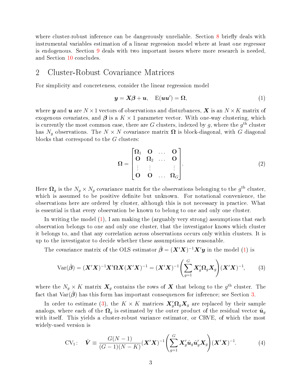where cluster-robust inference can be dangerously unreliable. Section [8](#page-20-0) briefly deals with instrumental variables estimation of a linear regression model where at least one regressor is endogenous. Section [9](#page-23-0) deals with two important issues where more research is needed, and Section [10](#page-26-0) concludes.

#### <span id="page-3-0"></span>2 Cluster-Robust Covariance Matrices

For simplicity and concreteness, consider the linear regression model

<span id="page-3-1"></span>
$$
y = X\beta + u, \quad \mathcal{E}(uu') = \Omega,\tag{1}
$$

where y and u are  $N \times 1$  vectors of observations and disturbances, X is an  $N \times K$  matrix of exogenous covariates, and  $\beta$  is a  $K \times 1$  parameter vector. With one-way clustering, which is currently the most common case, there are  $G$  clusters, indexed by  $g,$  where the  $g^\mathrm{th}$  cluster has  $N_q$  observations. The  $N \times N$  covariance matrix  $\Omega$  is block-diagonal, with G diagonal blocks that correspond to the G clusters:

$$
\Omega = \begin{bmatrix} \Omega_1 & \mathbf{O} & \dots & \mathbf{O} \\ \mathbf{O} & \Omega_2 & \dots & \mathbf{O} \\ \vdots & \vdots & & \vdots \\ \mathbf{O} & \mathbf{O} & \dots & \Omega_G \end{bmatrix} . \tag{2}
$$

Here  $\Omega_g$  is the  $N_g \times N_g$  covariance matrix for the observations belonging to the  $g^{\text{th}}$  cluster, which is assumed to be positive definite but unknown. For notational convenience, the observations here are ordered by cluster, although this is not necessary in practice. What is essential is that every observation be known to belong to one and only one cluster.

In writing the model  $(1)$ , I am making the (arguably very strong) assumptions that each observation belongs to one and only one cluster, that the investigator knows which cluster it belongs to, and that any correlation across observations occurs only within clusters. It is up to the investigator to decide whether these assumptions are reasonable.

The covariance matrix of the OLS estimator  $\hat{\boldsymbol{\beta}} = (\boldsymbol{X}'\boldsymbol{X})^{-1}\boldsymbol{X}'\boldsymbol{y}$  in the model [\(1\)](#page-3-1) is

<span id="page-3-2"></span>
$$
\text{Var}(\hat{\boldsymbol{\beta}}) = (\boldsymbol{X}'\boldsymbol{X})^{-1}\boldsymbol{X}'\boldsymbol{\Omega}\boldsymbol{X}(\boldsymbol{X}'\boldsymbol{X})^{-1} = (\boldsymbol{X}'\boldsymbol{X})^{-1}\left(\sum_{g=1}^{G} \boldsymbol{X}_g'\boldsymbol{\Omega}_g\boldsymbol{X}_g\right)(\boldsymbol{X}'\boldsymbol{X})^{-1},\tag{3}
$$

where the  $N_g \times K$  matrix  $\boldsymbol{X}_g$  contains the rows of  $\boldsymbol{X}$  that belong to the  $g^\text{th}$  cluster. The fact that  $Var(\beta)$  has this form has important consequences for inference; see Section [3.](#page-5-0)

In order to estimate [\(3\)](#page-3-2), the  $K \times K$  matrices  $\mathbf{X}'_g \mathbf{\Omega}_g \mathbf{X}_g$  are replaced by their sample analogs, where each of the  $\Omega_g$  is estimated by the outer product of the residual vector  $\hat{u}_g$ with itself. This yields a cluster-robust variance estimator, or CRVE, of which the most widely-used version is

<span id="page-3-3"></span>
$$
CV1: \hat{\mathbf{V}} \equiv \frac{G(N-1)}{(G-1)(N-K)} (\mathbf{X}'\mathbf{X})^{-1} \left( \sum_{g=1}^{G} \mathbf{X}'_g \hat{\mathbf{u}}_g \hat{\mathbf{u}}'_g \mathbf{X}_g \right) (\mathbf{X}'\mathbf{X})^{-1}.
$$
 (4)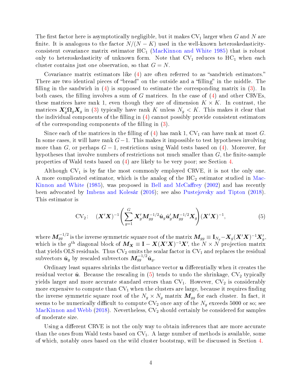The first factor here is asymptotically negligible, but it makes  $CV_1$  larger when G and N are finite. It is analogous to the factor  $N/(N - K)$  used in the well-known heteroskedasticityconsistent covariance matrix estimator  $HC_1$  [\(MacKinnon and White](#page-28-0) [1985\)](#page-28-0) that is robust only to heteroskedasticity of unknown form. Note that  $CV_1$  reduces to  $HC_1$  when each cluster contains just one observation, so that  $G = N$ .

Covariance matrix estimators like  $(4)$  are often referred to as "sandwich estimators." There are two identical pieces of "bread" on the outside and a "filling" in the middle. The filling in the sandwich in  $(4)$  is supposed to estimate the corresponding matrix in  $(3)$ . In both cases, the filling involves a sum of G matrices. In the case of  $(4)$  and other CRVEs, these matrices have rank 1, even though they are of dimension  $K \times K$ . In contrast, the matrices  $\mathbf{X}'_g \Omega_g \mathbf{X}_g$  in [\(3\)](#page-3-2) typically have rank K unless  $N_g < K$ . This makes it clear that the individual components of the filling in  $(4)$  cannot possibly provide consistent estimators of the corresponding components of the filling in  $(3)$ .

Since each of the matrices in the filling of [\(4\)](#page-3-3) has rank 1,  $CV_1$  can have rank at most G. In some cases, it will have rank  $G-1$ . This makes it impossible to test hypotheses involving more than G, or perhaps  $G-1$ , restrictions using Wald tests based on [\(4\)](#page-3-3). Moreover, for hypotheses that involve numbers of restrictions not much smaller than  $G$ , the finite-sample properties of Wald tests based on [\(4\)](#page-3-3) are likely to be very poor; see Section [4.](#page-7-0)

Although  $CV_1$  is by far the most commonly employed CRVE, it is not the only one. A more complicated estimator, which is the analog of the  $HC<sub>2</sub>$  estimator studied in [Mac-](#page-28-0)[Kinnon and White](#page-28-0)  $(1985)$ , was proposed in Bell and McCaffrey  $(2002)$  and has recently been advocated by [Imbens and Kolesár](#page-28-1) [\(2016\)](#page-28-1); see also [Pustejovsky and Tipton](#page-29-0) [\(2018\)](#page-29-0). This estimator is

<span id="page-4-0"></span>
$$
CV_2: \quad (\boldsymbol{X}'\boldsymbol{X})^{-1} \Bigg( \sum_{g=1}^{G} \boldsymbol{X}'_g \boldsymbol{M}_{gg}^{-1/2} \hat{\boldsymbol{u}}_g \hat{\boldsymbol{u}}'_g \boldsymbol{M}_{gg}^{-1/2} \boldsymbol{X}_g \Bigg) (\boldsymbol{X}'\boldsymbol{X})^{-1}, \tag{5}
$$

where  $\boldsymbol{M}^{-1/2}_{gg}$  is the inverse symmetric square root of the matrix  $\boldsymbol{M}_{gg}\equiv \mathbf{I}_{N_g}-\boldsymbol{X}_g(\boldsymbol{X}'\boldsymbol{X})^{-1}\boldsymbol{X}'_g,$ which is the g<sup>th</sup> diagonal block of  $M_X \equiv I - X(X'X)^{-1}X'$ , the  $N \times N$  projection matrix that yields OLS residuals. Thus  $CV_2$  omits the scalar factor in  $CV_1$  and replaces the residual subvectors  $\hat{\bm{u}}_g$  by rescaled subvectors  $\bm{M}^{-1/2}_{gg}\hat{\bm{u}}_g$ .

Ordinary least squares shrinks the disturbance vector  $\boldsymbol{u}$  differentially when it creates the residual vector  $\hat{u}$ . Because the rescaling in [\(5\)](#page-4-0) tends to undo the shrinkage,  $CV_2$  typically yields larger and more accurate standard errors than  $CV_1$ . However,  $CV_2$  is considerably more expensive to compute than  $CV_1$  when the clusters are large, because it requires finding the inverse symmetric square root of the  $N_g \times N_g$  matrix  $M_{gg}$  for each cluster. In fact, it seems to be numerically difficult to compute  $CV_2$  once any of the  $N_g$  exceeds 5000 or so; see [MacKinnon and Webb](#page-28-2) [\(2018\)](#page-28-2). Nevertheless,  $CV_2$  should certainly be considered for samples of moderate size.

Using a different CRVE is not the only way to obtain inferences that are more accurate than the ones from Wald tests based on  $CV_1$ . A large number of methods is available, some of which, notably ones based on the wild cluster bootstrap, will be discussed in Section [4.](#page-7-0)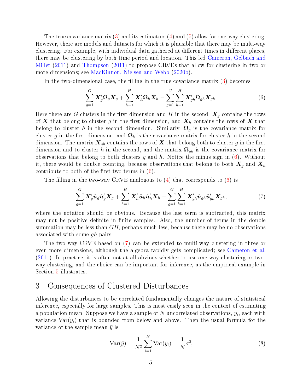The true covariance matrix  $(3)$  and its estimators  $(4)$  and  $(5)$  allow for one-way clustering. However, there are models and datasets for which it is plausible that there may be multi-way clustering. For example, with individual data gathered at different times in different places, there may be clustering by both time period and location. This led [Cameron, Gelbach and](#page-27-2) [Miller](#page-27-2) [\(2011\)](#page-27-2) and [Thompson](#page-29-1) [\(2011\)](#page-29-1) to propose CRVEs that allow for clustering in two or more dimensions; see [MacKinnon, Nielsen and Webb](#page-29-2) [\(2020b\)](#page-29-2).

In the two-dimensional case, the filling in the true covariance matrix [\(3\)](#page-3-2) becomes

<span id="page-5-1"></span>
$$
\sum_{g=1}^G \mathbf{X}'_g \mathbf{\Omega}_g \mathbf{X}_g + \sum_{h=1}^H \mathbf{X}'_h \mathbf{\Omega}_h \mathbf{X}_h - \sum_{g=1}^G \sum_{h=1}^H \mathbf{X}'_{gh} \mathbf{\Omega}_{gh} \mathbf{X}_{gh}.
$$
\n(6)

Here there are G clusters in the first dimension and H in the second,  $\mathbf{X}_q$  contains the rows of X that belong to cluster g in the first dimension, and  $X_h$  contains the rows of X that belong to cluster h in the second dimension. Similarly,  $\Omega_q$  is the covariance matrix for cluster g in the first dimension, and  $\Omega_h$  is the covariance matrix for cluster h in the second dimension. The matrix  $\mathbf{X}_{gh}$  contains the rows of X that belong both to cluster g in the first dimension and to cluster h in the second, and the matrix  $\Omega_{gh}$  is the covariance matrix for observations that belong to both clusters g and h. Notice the minus sign in  $(6)$ . Without it, there would be double counting, because observations that belong to both  $X_g$  and  $X_h$ contribute to both of the first two terms in  $(6)$ .

The filling in the two-way CRVE analogous to  $(4)$  that corresponds to  $(6)$  is

<span id="page-5-2"></span>
$$
\sum_{g=1}^G \mathbf{X}_g' \hat{\mathbf{u}}_g \hat{\mathbf{u}}_g' \mathbf{X}_g + \sum_{h=1}^H \mathbf{X}_h' \hat{\mathbf{u}}_h \hat{\mathbf{u}}_h' \mathbf{X}_h - \sum_{g=1}^G \sum_{h=1}^H \mathbf{X}_{gh}' \hat{\mathbf{u}}_{gh} \hat{\mathbf{u}}_{gh}' \mathbf{X}_{gh},
$$
\n(7)

where the notation should be obvious. Because the last term is subtracted, this matrix may not be positive definite in finite samples. Also, the number of terms in the double summation may be less than  $GH$ , perhaps much less, because there may be no observations associated with some gh pairs.

The two-way CRVE based on [\(7\)](#page-5-2) can be extended to multi-way clustering in three or even more dimensions, although the algebra rapidly gets complicated; see [Cameron et al.](#page-27-2) [\(2011\)](#page-27-2). In practice, it is often not at all obvious whether to use one-way clustering or twoway clustering, and the choice can be important for inference, as the empirical example in Section [5](#page-11-0) illustrates.

#### <span id="page-5-0"></span>3 Consequences of Clustered Disturbances

Allowing the disturbances to be correlated fundamentally changes the nature of statistical inference, especially for large samples. This is most easily seen in the context of estimating a population mean. Suppose we have a sample of  $N$  uncorrelated observations,  $y_i$ , each with variance  $Var(y_i)$  that is bounded from below and above. Then the usual formula for the variance of the sample mean  $\bar{y}$  is

<span id="page-5-3"></span>
$$
Var(\bar{y}) = \frac{1}{N^2} \sum_{i=1}^{N} Var(y_i) = \frac{1}{N} \sigma^2,
$$
\n(8)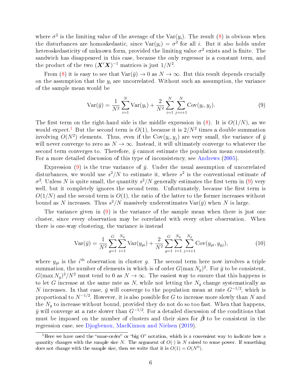where  $\sigma^2$  is the limiting value of the average of the Var( $y_i$ ). The result [\(8\)](#page-5-3) is obvious when the disturbances are homoskedastic, since  $Var(y_i) = \sigma^2$  for all i. But it also holds under heteroskedasticity of unknown form, provided the limiting value  $\sigma^2$  exists and is finite. The sandwich has disappeared in this case, because the only regressor is a constant term, and the product of the two  $(\boldsymbol{X}'\boldsymbol{X})^{-1}$  matrices is just  $1/N^2$ .

From [\(8\)](#page-5-3) it is easy to see that  $Var(\bar{y}) \to 0$  as  $N \to \infty$ . But this result depends crucially on the assumption that the  $y_i$  are uncorrelated. Without such an assumption, the variance of the sample mean would be

<span id="page-6-1"></span>
$$
Var(\bar{y}) = \frac{1}{N^2} \sum_{i=1}^{N} Var(y_i) + \frac{2}{N^2} \sum_{i=1}^{N} \sum_{j=i+1}^{N} Cov(y_i, y_j).
$$
 (9)

The first term on the right-hand side is the middle expression in  $(8)$ . It is  $O(1/N)$ , as we would expect.<sup>[1](#page-6-0)</sup> But the second term is  $O(1)$ , because it is  $2/N^2$  times a double summation involving  $O(N^2)$  elements. Thus, even if the  $\mathrm{Cov}(y_i, y_j)$  are very small, the variance of  $\bar{y}$ will never converge to zero as  $N \to \infty$ . Instead, it will ultimately converge to whatever the second term converges to. Therefore,  $\bar{y}$  cannot estimate the population mean consistently. For a more detailed discussion of this type of inconsistency, see [Andrews](#page-27-3) [\(2005\)](#page-27-3).

Expression [\(9\)](#page-6-1) is the true variance of  $\bar{y}$ . Under the usual assumption of uncorrelated disturbances, we would use  $s^2/N$  to estimate it, where  $s^2$  is the conventional estimate of  $\sigma^2$ . Unless N is quite small, the quantity  $s^2/N$  generally estimates the first term in [\(9\)](#page-6-1) very well, but it completely ignores the second term. Unfortunately, because the first term is  $O(1/N)$  and the second term is  $O(1)$ , the ratio of the latter to the former increases without bound as N increases. Thus  $s^2/N$  massively underestimates  $\text{Var}(\bar{y})$  when N is large.

The variance given in [\(9\)](#page-6-1) is the variance of the sample mean when there is just one cluster, since every observation may be correlated with every other observation. When there is one-way clustering, the variance is instead

<span id="page-6-2"></span>
$$
Var(\bar{y}) = \frac{1}{N^2} \sum_{g=1}^{G} \sum_{i=1}^{N_g} Var(y_{gi}) + \frac{2}{N^2} \sum_{g=1}^{G} \sum_{i=1}^{N_g} \sum_{j=i+1}^{N_g} Cov(y_{gi}, y_{gj}),
$$
(10)

where  $y_{gi}$  is the i<sup>th</sup> observation in cluster g. The second term here now involves a triple summation, the number of elements in which is of order  $G(\max N_g)^2.$  For  $\bar{y}$  to be consistent,  $G(\max N_g)^2/N^2$  must tend to 0 as  $N \to \infty$ . The easiest way to ensure that this happens is to let G increase at the same rate as N, while not letting the  $N_g$  change systematically as N increases. In that case,  $\bar{y}$  will converge to the population mean at rate  $G^{-1/2}$ , which is proportional to  $N^{-1/2}$ . However, it is also possible for  $G$  to increase more slowly than  $N$  and the  $N_g$  to increase without bound, provided they do not do so too fast. When that happens,  $\bar{y}$  will converge at a rate slower than  $G^{-1/2}$ . For a detailed discussion of the conditions that must be imposed on the number of clusters and their sizes for  $\beta$  to be consistent in the regression case, see [Djogbenou, MacKinnon and Nielsen](#page-28-3) [\(2019\)](#page-28-3).

<span id="page-6-0"></span><sup>&</sup>lt;sup>1</sup>Here we have used the "same-order" or "big O" notation, which is a convenient way to indicate how a quantity changes with the sample size N. The argument of  $O(\cdot)$  is N raised to some power. If something does not change with the sample size, then we write that it is  $O(1) = O(N^0)$ .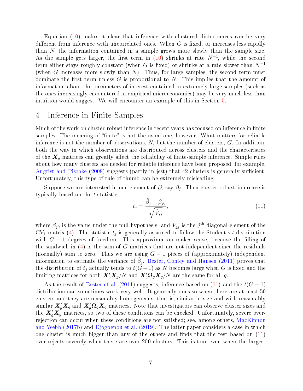Equation [\(10\)](#page-6-2) makes it clear that inference with clustered disturbances can be very different from inference with uncorrelated ones. When  $G$  is fixed, or increases less rapidly than N, the information contained in a sample grows more slowly than the sample size. As the sample gets larger, the first term in [\(10\)](#page-6-2) shrinks at rate  $N^{-1}$ , while the second term either stays roughly constant (when G is fixed) or shrinks at a rate slower than  $N^{-1}$ (when G increases more slowly than  $N$ ). Thus, for large samples, the second term must dominate the first term unless G is proportional to N. This implies that the amount of information about the parameters of interest contained in extremely large samples (such as the ones increasingly encountered in empirical microeconomics) may be very much less than intuition would suggest. We will encounter an example of this in Section [5.](#page-11-0)

#### <span id="page-7-0"></span>4 Inference in Finite Samples

Much of the work on cluster-robust inference in recent years has focused on inference in finite samples. The meaning of "finite" is not the usual one, however. What matters for reliable inference is not the number of observations,  $N$ , but the number of clusters,  $G$ . In addition, both the way in which observations are distributed across clusters and the characteristics of the  $X_g$  matrices can greatly affect the reliability of finite-sample inference. Simple rules about how many clusters are needed for reliable inference have been proposed; for example, [Angrist and Pischke](#page-27-4) [\(2008\)](#page-27-4) suggests (partly in jest) that 42 clusters is generally sufficient. Unfortunately, this type of rule of thumb can be extremely misleading.

Suppose we are interested in one element of  $\beta$ , say  $\beta_j$ . Then cluster-robust inference is typically based on the t statistic

<span id="page-7-1"></span>
$$
t_j = \frac{\hat{\beta}_j - \beta_{j0}}{\sqrt{\hat{V}_{jj}}},\tag{11}
$$

where  $\beta_{j0}$  is the value under the null hypothesis, and  $\hat{V}_{jj}$  is the  $j^{\text{th}}$  diagonal element of the  $CV_1$  matrix [\(4\)](#page-3-3). The statistic  $t_j$  is generally assumed to follow the Student's t distribution with  $G - 1$  degrees of freedom. This approximation makes sense, because the filling of the sandwich in  $(4)$  is the sum of G matrices that are not independent since the residuals (normally) sum to zero. Thus we are using  $G-1$  pieces of (approximately) independent information to estimate the variance of  $\hat{\beta}_j$ . [Bester, Conley and Hansen](#page-27-5) [\(2011\)](#page-27-5) proves that the distribution of  $t_j$  actually tends to  $t(G-1)$  as N becomes large when G is fixed and the limiting matrices for both  $\mathbf{X}_g' \mathbf{X}_g/N$  and  $\mathbf{X}_g' \mathbf{\Omega}_g \mathbf{X}_g/N$  are the same for all g.

As the result of [Bester et al.](#page-27-5) [\(2011\)](#page-27-5) suggests, inference based on [\(11\)](#page-7-1) and the  $t(G-1)$ distribution can sometimes work very well. It generally does so when there are at least 50 clusters and they are reasonably homogeneous, that is, similar in size and with reasonably similar  $\bm{X}_g' \bm{X}_g$  and  $\bm{X}_g' \bm{\Omega}_g \bm{X}_g$  matrices. Note that investigators can observe cluster sizes and the  $X_g'X_g$  matrices, so two of these conditions can be checked. Unfortunately, severe over-rejection can occur when these conditions are not satisfied; see, among others, [MacKinnon](#page-28-4) [and Webb](#page-28-4) [\(2017b\)](#page-28-4) and [Djogbenou et al.](#page-28-3) [\(2019\)](#page-28-3). The latter paper considers a case in which one cluster is much bigger than any of the others and finds that the test based on  $(11)$ over-rejects severely when there are over 200 clusters. This is true even when the largest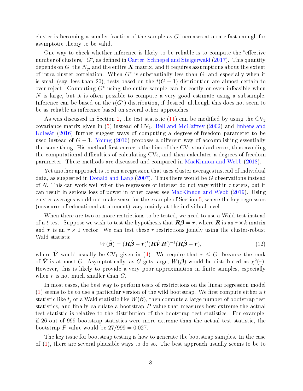cluster is becoming a smaller fraction of the sample as  $G$  increases at a rate fast enough for asymptotic theory to be valid.

One way to check whether inference is likely to be reliable is to compute the "effective number of clusters,"  $G^*$ , as defined in [Carter, Schnepel and Steigerwald](#page-27-6) [\(2017\)](#page-27-6). This quantity depends on G, the  $N_g$ , and the entire X matrix, and it requires assumptions about the extent of intra-cluster correlation. When  $G^*$  is substantially less than  $G$ , and especially when it is small (say, less than 20), tests based on the  $t(G-1)$  distribution are almost certain to over-reject. Computing  $G^*$  using the entire sample can be costly or even infeasible when N is large, but it is often possible to compute a very good estimate using a subsample. Inference can be based on the  $t(G^*)$  distribution, if desired, although this does not seem to be as reliable as inference based on several other approaches.

As was discussed in Section [2,](#page-3-0) the test statistic  $(11)$  can be modified by using the  $CV_2$ covariance matrix given in  $(5)$  instead of  $CV_1$ . Bell and McCaffrey [\(2002\)](#page-27-1) and [Imbens and](#page-28-1) [Kolesár](#page-28-1) [\(2016\)](#page-28-1) further suggest ways of computing a degrees-of-freedom parameter to be used instead of  $G - 1$ . [Young](#page-29-3) [\(2016\)](#page-29-3) proposes a different way of accomplishing essentially the same thing. His method first corrects the bias of the  $CV_1$  standard error, thus avoiding the computational difficulties of calculating  $CV_2$ , and then calculates a degrees-of-freedom parameter. These methods are discussed and compared in [MacKinnon and Webb](#page-28-2) [\(2018\)](#page-28-2).

Yet another approach is to run a regression that uses cluster averages instead of individual data, as suggested in [Donald and Lang](#page-28-5)  $(2007)$ . Thus there would be G observations instead of N. This can work well when the regressors of interest do not vary within clusters, but it can result in serious loss of power in other cases; see [MacKinnon and Webb](#page-29-4) [\(2019\)](#page-29-4). Using cluster averages would not make sense for the example of Section [5,](#page-11-0) where the key regressors (measures of educational attainment) vary mainly at the individual level.

When there are two or more restrictions to be tested, we need to use a Wald test instead of a t test. Suppose we wish to test the hypothesis that  $\mathbf{R}\boldsymbol{\beta} = \boldsymbol{r}$ , where  $\boldsymbol{R}$  is an  $r \times k$  matrix and r is an  $r \times 1$  vector. We can test these r restrictions jointly using the cluster-robust Wald statistic

$$
W(\hat{\boldsymbol{\beta}}) = (\boldsymbol{R}\hat{\boldsymbol{\beta}} - \boldsymbol{r})'(\boldsymbol{R}\hat{\boldsymbol{V}}\boldsymbol{R}')^{-1}(\boldsymbol{R}\hat{\boldsymbol{\beta}} - \boldsymbol{r}),
$$
\n(12)

where  $\hat{V}$  would usually be CV<sub>1</sub> given in [\(4\)](#page-3-3). We require that  $r \leq G$ , because the rank of  $\hat{\bm{V}}$  is at most G. Asymptotically, as G gets large,  $\hat{W}(\hat{\bm{\beta}})$  would be distributed as  $\chi^2(r)$ . However, this is likely to provide a very poor approximation in finite samples, especially when  $r$  is not much smaller than  $G$ .

In most cases, the best way to perform tests of restrictions on the linear regression model  $(1)$  seems to be to use a particular version of the wild bootstrap. We first compute either a t statistic like  $t_j$  or a Wald statistic like  $W(\hat{\beta})$ , then compute a large number of bootstrap test statistics, and finally calculate a bootstrap  $P$  value that measures how extreme the actual test statistic is relative to the distribution of the bootstrap test statistics. For example, if 26 out of 999 bootstrap statistics were more extreme than the actual test statistic, the bootstrap P value would be  $27/999 = 0.027$ .

The key issue for bootstrap testing is how to generate the bootstrap samples. In the case of [\(1\)](#page-3-1), there are several plausible ways to do so. The best approach usually seems to be to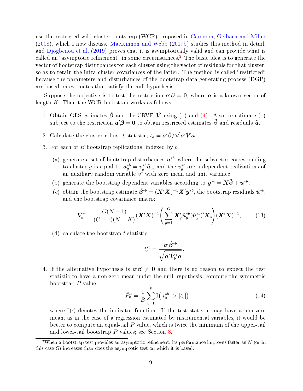use the restricted wild cluster bootstrap (WCR) proposed in [Cameron, Gelbach and Miller](#page-27-7) [\(2008\)](#page-27-7), which I now discuss. [MacKinnon and Webb](#page-28-4) [\(2017b\)](#page-28-4) studies this method in detail, and [Djogbenou et al.](#page-28-3) [\(2019\)](#page-28-3) proves that it is asymptotically valid and can provide what is called an "asymptotic refinement" in some circumstances.<sup>[2](#page-9-0)</sup> The basic idea is to generate the vector of bootstrap disturbances for each cluster using the vector of residuals for that cluster, so as to retain the intra-cluster covariances of the latter. The method is called "restricted" because the parameters and disturbances of the bootstrap data generating process (DGP) are based on estimates that satisfy the null hypothesis.

Suppose the objective is to test the restriction  $a'\beta = 0$ , where a is a known vector of length  $K$ . Then the WCR bootstrap works as follows:

- 1. Obtain OLS estimates  $\hat{\boldsymbol{\beta}}$  and the CRVE  $\hat{\boldsymbol{V}}$  using [\(1\)](#page-3-1) and [\(4\)](#page-3-3). Also, re-estimate (1) subject to the restriction  $a'\beta = 0$  to obtain restricted estimates  $\tilde{\beta}$  and residuals  $\tilde{u}$ .
- 2. Calculate the cluster-robust  $t$  statistic,  $t_a = \bm{a}' \hat{\bm{\beta}} / \sqrt{\bm{a}' \hat{\bm{V}} \bm{a}}$  .
- 3. For each of  $B$  bootstrap replications, indexed by  $b$ .
	- (a) generate a set of bootstrap disturbances  $u^{*b}$ , where the subvector corresponding to cluster g is equal to  $u_g^{*b} = v_g^{*b} \tilde{u}_g$ , and the  $v_g^{*b}$  are independent realizations of an auxiliary random variable  $v^*$  with zero mean and unit variance;
	- (b) generate the bootstrap dependent variables according to  $\mathbf{y}^{*b} = \mathbf{X}\tilde{\boldsymbol{\beta}} + \boldsymbol{u}^{*b}$ ;
	- (c) obtain the bootstrap estimate  $\hat{\beta}^{*b} = (X'X)^{-1}X'y^{*b}$ , the bootstrap residuals  $\hat{\bm{u}}^{*b}$ , and the bootstrap covariance matrix

<span id="page-9-1"></span>
$$
\hat{\mathbf{V}}_{b}^{*} = \frac{G(N-1)}{(G-1)(N-K)} (\mathbf{X}'\mathbf{X})^{-1} \left( \sum_{g=1}^{G} \mathbf{X}'_{g} \hat{\mathbf{u}}_{g}^{*b} (\hat{\mathbf{u}}_{g}^{*b})' \mathbf{X}_{g} \right) (\mathbf{X}'\mathbf{X})^{-1};
$$
(13)

(d) calculate the bootstrap  $t$  statistic

$$
t^{*b}_a = \frac{\bm{a}' \hat{\bm{\beta}}^{*b}}{\sqrt{\bm{a}' \hat{\bm{V}}_b^* \bm{a}}}.
$$

4. If the alternative hypothesis is  $a'\beta \neq 0$  and there is no reason to expect the test statistic to have a non-zero mean under the null hypothesis, compute the symmetric bootstrap P value

<span id="page-9-2"></span>
$$
\hat{P}_{\rm S}^* = \frac{1}{B} \sum_{b=1}^B \mathbb{I}(|t_a^{*b}| > |t_a|),\tag{14}
$$

where  $\mathbb{I}(\cdot)$  denotes the indicator function. If the test statistic may have a non-zero mean, as in the case of a regression estimated by instrumental variables, it would be better to compute an equal-tail  $P$  value, which is twice the minimum of the upper-tail and lower-tail bootstrap P values; see Section [8.](#page-20-0)

<span id="page-9-0"></span><sup>&</sup>lt;sup>2</sup>When a bootstrap test provides an asymptotic refinement, its performance improves faster as  $N$  (or in this case  $G$ ) increases than does the asymptotic test on which it is based.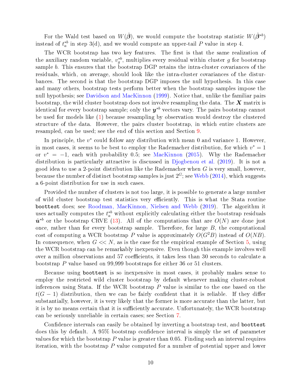For the Wald test based on  $W(\hat{\boldsymbol{\beta}})$ , we would compute the bootstrap statistic  $W(\hat{\boldsymbol{\beta}}^{*b})$ instead of  $t_a^{*b}$  in step 3(d), and we would compute an upper-tail  $P$  value in step 4.

The WCR bootstrap has two key features. The first is that the same realization of the auxiliary random variable,  $v_g^{*b}$ , multiplies every residual within cluster g for bootstrap sample b. This ensures that the bootstrap DGP retains the intra-cluster covariances of the residuals, which, on average, should look like the intra-cluster covariances of the disturbances. The second is that the bootstrap DGP imposes the null hypothesis. In this case and many others, bootstrap tests perform better when the bootstrap samples impose the null hypothesis; see [Davidson and MacKinnon](#page-27-8) [\(1999\)](#page-27-8). Notice that, unlike the familiar pairs bootstrap, the wild cluster bootstrap does not involve resampling the data. The  $X$  matrix is identical for every bootstrap sample; only the  $\bm{y}^{*b}$  vectors vary. The pairs bootstrap cannot be used for models like [\(1\)](#page-3-1) because resampling by observation would destroy the clustered structure of the data. However, the pairs cluster bootstrap, in which entire clusters are resampled, can be used; see the end of this section and Section [9.](#page-23-0)

In principle, the  $v^*$  could follow any distribution with mean 0 and variance 1. However, in most cases, it seems to be best to employ the Rademacher distribution, for which  $v^* = 1$ or  $v^* = -1$ , each with probability 0.5; see [MacKinnon](#page-28-6) [\(2015\)](#page-28-6). Why the Rademacher distribution is particularly attractive is discussed in [Djogbenou et al.](#page-28-3) [\(2019\)](#page-28-3). It is not a good idea to use a 2-point distribution like the Rademacher when  $G$  is very small, however, because the number of distinct bootstrap samples is just  $2^G$ ; see [Webb](#page-29-5) [\(2014\)](#page-29-5), which suggests a 6-point distribution for use in such cases.

Provided the number of clusters is not too large, it is possible to generate a large number of wild cluster bootstrap test statistics very efficiently. This is what the Stata routine boottest does; see [Roodman, MacKinnon, Nielsen and Webb](#page-29-6) [\(2019\)](#page-29-6). The algorithm it uses actually computes the  $t_a^{*b}$  without explicitly calculating either the bootstrap residuals  $\hat{\boldsymbol{u}}^{*b}$  or the bootstrap CRVE [\(13\)](#page-9-1). All of the computations that are  $O(N)$  are done just once, rather than for every bootstrap sample. Therefore, for large  $B$ , the computational cost of computing a WCR bootstrap P value is approximately  $O(G^2B)$  instead of  $O(NB)$ . In consequence, when  $G \ll N$ , as is the case for the empirical example of Section [5,](#page-11-0) using the WCR bootstrap can be remarkably inexpensive. Even though this example involves well over a million observations and 57 coefficients, it takes less than 30 seconds to calculate a bootstrap P value based on 99,999 bootstraps for either 36 or 51 clusters.

Because using boottest is so inexpensive in most cases, it probably makes sense to employ the restricted wild cluster bootstrap by default whenever making cluster-robust inferences using Stata. If the WCR bootstrap  $P$  value is similar to the one based on the  $t(G-1)$  distribution, then we can be fairly confident that it is reliable. If they differ substantially, however, it is very likely that the former is more accurate than the latter, but it is by no means certain that it is sufficiently accurate. Unfortunately, the WCR bootstrap can be seriously unreliable in certain cases; see Section [7.](#page-17-0)

Confidence intervals can easily be obtained by inverting a bootstrap test, and boottest does this by default. A 95% bootstrap condence interval is simply the set of parameter values for which the bootstrap  $P$  value is greater than 0.05. Finding such an interval requires iteration, with the bootstrap  $P$  value computed for a number of potential upper and lower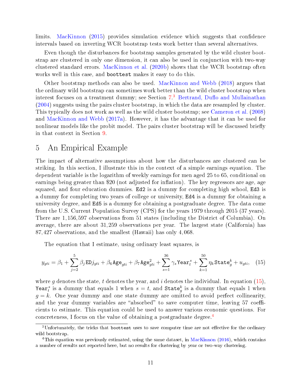limits. [MacKinnon](#page-28-6) [\(2015\)](#page-28-6) provides simulation evidence which suggests that confidence intervals based on inverting WCR bootstrap tests work better than several alternatives.

Even though the disturbances for bootstrap samples generated by the wild cluster bootstrap are clustered in only one dimension, it can also be used in conjunction with two-way clustered standard errors. [MacKinnon et al.](#page-29-2) [\(2020b\)](#page-29-2) shows that the WCR bootstrap often works well in this case, and boottest makes it easy to do this.

Other bootstrap methods can also be used. [MacKinnon and Webb](#page-28-2) [\(2018\)](#page-28-2) argues that the ordinary wild bootstrap can sometimes work better than the wild cluster bootstrap when interest focuses on a treatment dummy; see Section [7.](#page-17-0)<sup>[3](#page-11-1)</sup> Bertrand, Duflo and Mullainathan [\(2004\)](#page-27-9) suggests using the pairs cluster bootstrap, in which the data are resampled by cluster. This typically does not work as well as the wild cluster bootstrap; see [Cameron et al.](#page-27-7) [\(2008\)](#page-27-7) and [MacKinnon and Webb](#page-28-7) [\(2017a\)](#page-28-7). However, it has the advantage that it can be used for nonlinear models like the probit model. The pairs cluster bootstrap will be discussed briefly in that context in Section [9.](#page-23-0)

#### <span id="page-11-0"></span>5 An Empirical Example

The impact of alternative assumptions about how the disturbances are clustered can be striking. In this section, I illustrate this in the context of a simple earnings equation. The dependent variable is the logarithm of weekly earnings for men aged 25 to 65, conditional on earnings being greater than \$20 (not adjusted for inflation). The key regressors are age, age squared, and four education dummies. Ed2 is a dummy for completing high school, Ed3 is a dummy for completing two years of college or university, Ed4 is a dummy for obtaining a university degree, and Ed5 is a dummy for obtaining a postgraduate degree. The data come from the U.S. Current Population Survey (CPS) for the years 1979 through 2015 (37 years). There are 1,156,597 observations from 51 states (including the District of Columbia). On average, there are about 31,259 observations per year. The largest state (California) has 87,427 observations, and the smallest (Hawaii) has only 4,068.

The equation that I estimate, using ordinary least squares, is

<span id="page-11-2"></span>
$$
y_{gti} = \beta_1 + \sum_{j=2}^{5} \beta_j \text{ED} j_{gti} + \beta_6 \text{Age}_{gti} + \beta_7 \text{Age}_{gti}^2 + \sum_{s=1}^{36} \gamma_s \text{Year}_t^s + \sum_{k=1}^{50} \eta_k \text{State}_g^k + u_{gti}, \quad (15)
$$

where g denotes the state, t denotes the year, and i denotes the individual. In equation [\(15\)](#page-11-2), Year<sup>s</sup> is a dummy that equals 1 when  $s = t$ , and State<sup>k</sup> is a dummy that equals 1 when  $g = k$ . One year dummy and one state dummy are omitted to avoid perfect collinearity, and the year dummy variables are "absorbed" to save computer time, leaving  $57 \text{ coefficient}$ cients to estimate. This equation could be used to answer various economic questions. For concreteness, I focus on the value of obtaining a postgraduate degree.[4](#page-11-3)

<span id="page-11-1"></span> $3$ Unfortunately, the tricks that boottest uses to save computer time are not effective for the ordinary wild bootstrap.

<span id="page-11-3"></span><sup>&</sup>lt;sup>4</sup>This equation was previously estimated, using the same dataset, in [MacKinnon](#page-28-8)  $(2016)$ , which contains a number of results not reported here, but no results for clustering by year or two-way clustering.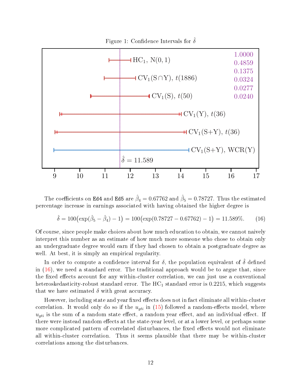

<span id="page-12-1"></span>Figure 1: Confidence Intervals for  $\delta$ 

The coefficients on Ed4 and Ed5 are  $\hat{\beta}_4 = 0.67762$  and  $\hat{\beta}_5 = 0.78727$ . Thus the estimated percentage increase in earnings associated with having obtained the higher degree is

<span id="page-12-0"></span>
$$
\hat{\delta} = 100 \left( \exp(\hat{\beta}_5 - \hat{\beta}_4) - 1 \right) = 100 \left( \exp(0.78727 - 0.67762) - 1 \right) = 11.589\%.
$$
 (16)

Of course, since people make choices about how much education to obtain, we cannot naively interpret this number as an estimate of how much more someone who chose to obtain only an undergraduate degree would earn if they had chosen to obtain a postgraduate degree as well. At best, it is simply an empirical regularity.

In order to compute a confidence interval for  $\delta$ , the population equivalent of  $\delta$  defined in  $(16)$ , we need a standard error. The traditional approach would be to argue that, since the fixed effects account for any within-cluster correlation, we can just use a conventional heteroskedasticity-robust standard error. The  $HC_1$  standard error is 0.2215, which suggests that we have estimated  $\delta$  with great accuracy.

However, including state and year fixed effects does not in fact eliminate all within-cluster correlation. It would only do so if the  $u_{qti}$  in [\(15\)](#page-11-2) followed a random-effects model, where  $u_{\text{at}}$  is the sum of a random state effect, a random year effect, and an individual effect. If there were instead random effects at the state-year level, or at a lower level, or perhaps some more complicated pattern of correlated disturbances, the fixed effects would not eliminate all within-cluster correlation. Thus it seems plausible that there may be within-cluster correlations among the disturbances.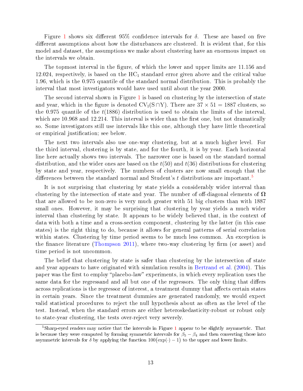Figure [1](#page-12-1) shows six different 95% confidence intervals for  $\delta$ . These are based on five different assumptions about how the disturbances are clustered. It is evident that, for this model and dataset, the assumptions we make about clustering have an enormous impact on the intervals we obtain.

The topmost interval in the figure, of which the lower and upper limits are 11.156 and 12.024, respectively, is based on the  $HC_1$  standard error given above and the critical value 1.96, which is the 0.975 quantile of the standard normal distribution. This is probably the interval that most investigators would have used until about the year 2000.

The second interval shown in Figure [1](#page-12-1) is based on clustering by the intersection of state and year, which in the figure is denoted  $CV_1(S\cap Y)$ . There are  $37 \times 51 = 1887$  clusters, so the 0.975 quantile of the  $t(1886)$  distribution is used to obtain the limits of the interval, which are  $10.968$  and  $12.214$ . This interval is wider than the first one, but not dramatically so. Some investigators still use intervals like this one, although they have little theoretical or empirical justification; see below.

The next two intervals also use one-way clustering, but at a much higher level. For the third interval, clustering is by state, and for the fourth, it is by year. Each horizontal line here actually shows two intervals. The narrower one is based on the standard normal distribution, and the wider ones are based on the  $t(50)$  and  $t(36)$  distributions for clustering by state and year, respectively. The numbers of clusters are now small enough that the differences between the standard normal and Student's t distributions are important.<sup>[5](#page-13-0)</sup>

It is not surprising that clustering by state yields a considerably wider interval than clustering by the intersection of state and year. The number of off-diagonal elements of  $\Omega$ that are allowed to be non-zero is very much greater with 51 big clusters than with 1887 small ones. However, it may be surprising that clustering by year yields a much wider interval than clustering by state. It appears to be widely believed that, in the context of data with both a time and a cross-section component, clustering by the latter (in this case states) is the right thing to do, because it allows for general patterns of serial correlation within states. Clustering by time period seems to be much less common. An exception is the finance literature [\(Thompson](#page-29-1) [2011\)](#page-29-1), where two-way clustering by firm (or asset) and time period is not uncommon.

The belief that clustering by state is safer than clustering by the intersection of state and year appears to have originated with simulation results in [Bertrand et al.](#page-27-9) [\(2004\)](#page-27-9). This paper was the first to employ "placebo-law" experiments, in which every replication uses the same data for the regressand and all but one of the regressors. The only thing that differs across replications is the regressor of interest, a treatment dummy that affects certain states in certain years. Since the treatment dummies are generated randomly, we would expect valid statistical procedures to reject the null hypothesis about as often as the level of the test. Instead, when the standard errors are either heteroskedasticity-robust or robust only to state-year clustering, the tests over-reject very severely.

<span id="page-13-0"></span><sup>&</sup>lt;sup>5</sup>Sharp-eyed readers may notice that the intervals in Figure [1](#page-12-1) appear to be slightly asymmetric. That is because they were computed by forming symmetric intervals for  $\beta_5 - \beta_4$  and then converting those into asymmetric intervals for  $\delta$  by applying the function  $100\left(\exp(\cdot)-1\right)$  to the upper and lower limits.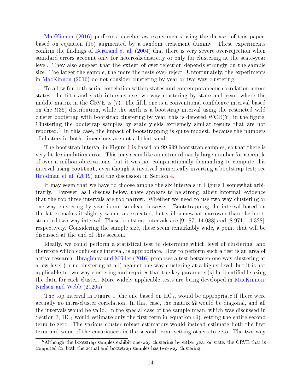[MacKinnon](#page-28-8) [\(2016\)](#page-28-8) performs placebo-law experiments using the dataset of this paper, based on equation [\(15\)](#page-11-2) augmented by a random treatment dummy. These experiments confirm the findings of [Bertrand et al.](#page-27-9)  $(2004)$  that there is very severe over-rejection when standard errors account only for heteroskedasticity or only for clustering at the state-year level. They also suggest that the extent of over-rejection depends strongly on the sample size. The larger the sample, the more the tests over-reject. Unfortunately, the experiments in [MacKinnon](#page-28-8) [\(2016\)](#page-28-8) do not consider clustering by year or two-way clustering.

To allow for both serial correlation within states and contemporaneous correlation across states, the fth and sixth intervals use two-way clustering by state and year, where the middle matrix in the CRVE is  $(7)$ . The fifth one is a conventional confidence interval based on the  $t(36)$  distribution, while the sixth is a bootstrap interval using the restricted wild cluster bootstrap with bootstrap clustering by year; this is denoted  $WCR(Y)$  in the figure. Clustering the bootstrap samples by state yields extremely similar results that are not reported.<sup> $\bar{6}$  $\bar{6}$  $\bar{6}$ </sup> In this case, the impact of bootstrapping is quite modest, because the numbers of clusters in both dimensions are not all that small.

The bootstrap interval in Figure [1](#page-12-1) is based on 99,999 bootstrap samples, so that there is very little simulation error. This may seem like an extraordinarily large number for a sample of over a million observations, but it was not computationally demanding to compute this interval using boottest, even though it involved numerically inverting a bootstrap test; see [Roodman et al.](#page-29-6) [\(2019\)](#page-29-6) and the discussion in Section [4.](#page-7-0)

It may seem that we have to choose among the six intervals in Figure [1](#page-12-1) somewhat arbitrarily. However, as I discuss below, there appears to be strong, albeit informal, evidence that the top three intervals are too narrow. Whether we need to use two-way clustering or one-way clustering by year is not so clear, however. Bootstrapping the interval based on the latter makes it slightly wider, as expected, but still somewhat narrower than the bootstrapped two-way interval. These bootstrap intervals are [9.187, 14.088] and [8.971, 14.328], respectively. Considering the sample size, these seem remarkably wide, a point that will be discussed at the end of this section.

Ideally, we could perform a statistical test to determine which level of clustering, and therefore which condence interval, is appropriate. How to perform such a test is an area of active research. [Ibragimov and Müller](#page-28-9) [\(2016\)](#page-28-9) proposes a test between one-way clustering at a low level (or no clustering at all) against one-way clustering at a higher level, but it is not applicable to two-way clustering and requires that the key parameter(s) be identifiable using the data for each cluster. More widely applicable tests are being developed in [MacKinnon,](#page-29-7) [Nielsen and Webb](#page-29-7) [\(2020a\)](#page-29-7).

The top interval in Figure [1,](#page-12-1) the one based on  $HC_1$ , would be appropriate if there were actually no intra-cluster correlation. In that case, the matrix  $\Omega$  would be diagonal, and all the intervals would be valid. In the special case of the sample mean, which was discussed in Section [3,](#page-5-0)  $HC_1$  would estimate only the first term in equation  $(9)$ , setting the entire second term to zero. The various cluster-robust estimators would instead estimate both the first term and some of the covariances in the second term, setting others to zero. The two-way

<span id="page-14-0"></span> $6$ Although the bootstrap samples exhibit one-way clustering by either year or state, the CRVE that is computed for both the actual and bootstrap samples has two-way clustering.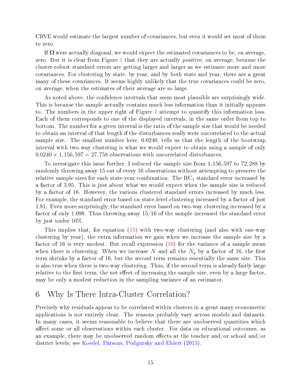CRVE would estimate the largest number of covariances, but even it would set most of them to zero.

If  $\Omega$  were actually diagonal, we would expect the estimated covariances to be, on average, zero. But it is clear from Figure [1](#page-12-1) that they are actually positive, on average, because the cluster-robust standard errors are getting larger and larger as we estimate more and more covariances. For clustering by state, by year, and by both state and year, there are a great many of these covariances. It seems highly unlikely that the true covariances could be zero, on average, when the estimates of their average are so large.

As noted above, the confidence intervals that seem most plausible are surprisingly wide. This is because the sample actually contains much less information than it initially appears to. The numbers in the upper right of Figure [1](#page-12-1) attempt to quantify this information loss. Each of them corresponds to one of the displayed intervals, in the same order from top to bottom. The number for a given interval is the ratio of the sample size that would be needed to obtain an interval of that length if the disturbances really were uncorrelated to the actual sample size. The smallest number here, 0.0240, tells us that the length of the bootstrap interval with two-way clustering is what we would expect to obtain using a sample of only  $0.0240 \times 1,156,597 = 27,758$  observations with uncorrelated disturbances.

To investigate this issue further, I reduced the sample size from 1,156,597 to 72,288 by randomly throwing away 15 out of every 16 observations without attempting to preserve the relative sample sizes for each state-year combination. The  $HC_1$  standard error increased by a factor of 3.95. This is just about what we would expect when the sample size is reduced by a factor of 16. However, the various clustered standard errors increased by much less. For example, the standard error based on state-level clustering increased by a factor of just 1.81. Even more surprisingly, the standard error based on two-way clustering increased by a factor of only 1.098. Thus throwing away 15/16 of the sample increased the standard error by just under 10%.

This implies that, for equation [\(15\)](#page-11-2) with two-way clustering (and also with one-way clustering by year), the extra information we gain when we increase the sample size by a factor of 16 is very modest. But recall expression [\(10\)](#page-6-2) for the variance of a sample mean when there is clustering. When we increase N and all the  $N_g$  by a factor of 16, the first term shrinks by a factor of 16, but the second term remains essentially the same size. This is also true when there is two-way clustering. Thus, if the second term is already fairly large relative to the first term, the net effect of increasing the sample size, even by a large factor, may be only a modest reduction in the sampling variance of an estimator.

### <span id="page-15-0"></span>6 Why Is There Intra-Cluster Correlation?

Precisely why residuals appear to be correlated within clusters in a great many econometric applications is not entirely clear. The reasons probably vary across models and datasets. In many cases, it seems reasonable to believe that there are unobserved quantities which affect some or all observations within each cluster. For data on educational outcomes, as an example, there may be unobserved random effects at the teacher and/or school and/or district levels; see [Koedel, Parsons, Podgursky and Ehlert](#page-28-10) [\(2015\)](#page-28-10).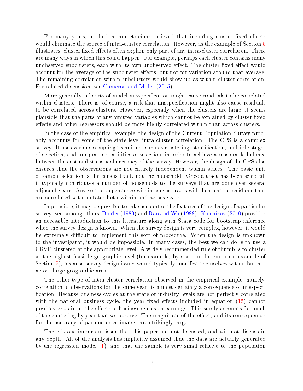For many years, applied econometricians believed that including cluster fixed effects would eliminate the source of intra-cluster correlation. However, as the example of Section [5](#page-11-0) illustrates, cluster fixed effects often explain only part of any intra-cluster correlation. There are many ways in which this could happen. For example, perhaps each cluster contains many unobserved subclusters, each with its own unobserved effect. The cluster fixed effect would account for the average of the subcluster effects, but not for variation around that average. The remaining correlation within subclusters would show up as within-cluster correlation. For related discussion, see [Cameron and Miller](#page-27-0) [\(2015\)](#page-27-0).

More generally, all sorts of model misspecification might cause residuals to be correlated within clusters. There is, of course, a risk that misspecification might also cause residuals to be correlated across clusters. However, especially when the clusters are large, it seems plausible that the parts of any omitted variables which cannot be explained by cluster fixed effects and other regressors should be more highly correlated within than across clusters.

In the case of the empirical example, the design of the Current Population Survey probably accounts for some of the state-level intra-cluster correlation. The CPS is a complex survey. It uses various sampling techniques such as clustering, stratification, multiple stages of selection, and unequal probabilities of selection, in order to achieve a reasonable balance between the cost and statistical accuracy of the survey. However, the design of the CPS also ensures that the observations are not entirely independent within states. The basic unit of sample selection is the census tract, not the household. Once a tract has been selected, it typically contributes a number of households to the surveys that are done over several adjacent years. Any sort of dependence within census tracts will then lead to residuals that are correlated within states both within and across years.

In principle, it may be possible to take account of the features of the design of a particular survey; see, among others, [Binder](#page-27-10) [\(1983\)](#page-27-10) and [Rao and Wu](#page-29-8) [\(1988\)](#page-29-8). [Kolenikov](#page-28-11) [\(2010\)](#page-28-11) provides an accessible introduction to this literature along with Stata code for bootstrap inference when the survey design is known. When the survey design is very complex, however, it would be extremely difficult to implement this sort of procedure. When the design is unknown to the investigator, it would be impossible. In many cases, the best we can do is to use a CRVE clustered at the appropriate level. A widely recommended rule of thumb is to cluster at the highest feasible geographic level (for example, by state in the empirical example of Section [5\)](#page-11-0), because survey design issues would typically manifest themselves within but not across large geographic areas.

The other type of intra-cluster correlation observed in the empirical example, namely, correlation of observations for the same year, is almost certainly a consequence of misspeci cation. Because business cycles at the state or industry levels are not perfectly correlated with the national business cycle, the year fixed effects included in equation  $(15)$  cannot possibly explain all the effects of business cycles on earnings. This surely accounts for much of the clustering by year that we observe. The magnitude of the effect, and its consequences for the accuracy of parameter estimates, are strikingly large.

There is one important issue that this paper has not discussed, and will not discuss in any depth. All of the analysis has implicitly assumed that the data are actually generated by the regression model [\(1\)](#page-3-1), and that the sample is very small relative to the population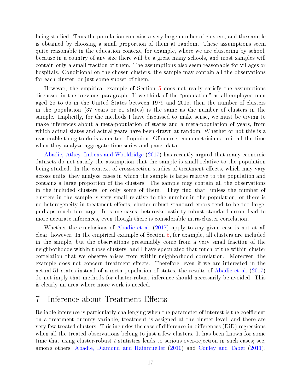being studied. Thus the population contains a very large number of clusters, and the sample is obtained by choosing a small proportion of them at random. These assumptions seem quite reasonable in the education context, for example, where we are clustering by school, because in a country of any size there will be a great many schools, and most samples will contain only a small fraction of them. The assumptions also seem reasonable for villages or hospitals. Conditional on the chosen clusters, the sample may contain all the observations for each cluster, or just some subset of them.

However, the empirical example of Section [5](#page-11-0) does not really satisfy the assumptions discussed in the previous paragraph. If we think of the "population" as all employed men aged 25 to 65 in the United States between 1979 and 2015, then the number of clusters in the population (37 years or 51 states) is the same as the number of clusters in the sample. Implicitly, for the methods I have discussed to make sense, we must be trying to make inferences about a meta-population of states and a meta-population of years, from which actual states and actual years have been drawn at random. Whether or not this is a reasonable thing to do is a matter of opinion. Of course, econometricians do it all the time when they analyze aggregate time-series and panel data.

[Abadie, Athey, Imbens and Wooldridge](#page-26-1) [\(2017\)](#page-26-1) has recently argued that many economic datasets do not satisfy the assumption that the sample is small relative to the population being studied. In the context of cross-section studies of treatment effects, which may vary across units, they analyze cases in which the sample is large relative to the population and contains a large proportion of the clusters. The sample may contain all the observations in the included clusters, or only some of them. They find that, unless the number of clusters in the sample is very small relative to the number in the population, or there is no heterogeneity in treatment effects, cluster-robust standard errors tend to be too large, perhaps much too large. In some cases, heteroskedasticity-robust standard errors lead to more accurate inferences, even though there is considerable intra-cluster correlation.

Whether the conclusions of [Abadie et al.](#page-26-1) [\(2017\)](#page-26-1) apply to any given case is not at all clear, however. In the empirical example of Section [5,](#page-11-0) for example, all clusters are included in the sample, but the observations presumably come from a very small fraction of the neighborhoods within those clusters, and I have speculated that much of the within-cluster correlation that we observe arises from within-neighborhood correlation. Moreover, the example does not concern treatment effects. Therefore, even if we are interested in the actual 51 states instead of a meta-population of states, the results of [Abadie et al.](#page-26-1) [\(2017\)](#page-26-1) do not imply that methods for cluster-robust inference should necessarily be avoided. This is clearly an area where more work is needed.

### <span id="page-17-0"></span>7 Inference about Treatment Effects

Reliable inference is particularly challenging when the parameter of interest is the coefficient on a treatment dummy variable, treatment is assigned at the cluster level, and there are very few treated clusters. This includes the case of difference-in-differences (DiD) regressions when all the treated observations belong to just a few clusters. It has been known for some time that using cluster-robust  $t$  statistics leads to serious over-rejection in such cases; see, among others, [Abadie, Diamond and Hainmueller](#page-26-2) [\(2010\)](#page-26-2) and [Conley and Taber](#page-27-11) [\(2011\)](#page-27-11).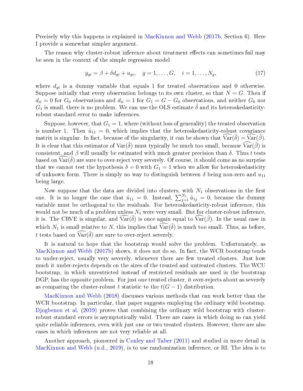Precisely why this happens is explained in [MacKinnon and Webb](#page-28-4) [\(2017b,](#page-28-4) Section 6). Here I provide a somewhat simpler argument.

The reason why cluster-robust inference about treatment effects can sometimes fail may be seen in the context of the simple regression model

$$
y_{gi} = \beta + \delta d_{gi} + u_{gi}, \quad g = 1, ..., G, \quad i = 1, ..., N_g,
$$
 (17)

where  $d_{qi}$  is a dummy variable that equals 1 for treated observations and 0 otherwise. Suppose initially that every observation belongs to its own cluster, so that  $N = G$ . Then if  $d_{ii} = 0$  for  $G_0$  observations and  $d_{ii} = 1$  for  $G_1 = G - G_0$  observations, and neither  $G_0$  nor  $G_1$  is small, there is no problem. We can use the OLS estimate  $\delta$  and its heteroskedasticityrobust standard error to make inferences.

Suppose, however, that  $G_1 = 1$ , where (without loss of generality) the treated observation is number 1. Then  $\hat{u}_{11} = 0$ , which implies that the heteroskedasticity-robust covariance matrix is singular. In fact, because of the singularity, it can be shown that  $\widehat{\text{Var}}(\hat{\delta}) = \widehat{\text{Var}}(\hat{\beta}).$ It is clear that this estimator of  $\text{Var}(\hat{\delta})$  must typically be much too small, because  $\widehat{\text{Var}}(\hat{\beta})$  is consistent, and  $\beta$  will usually be estimated with much greater precision than  $\delta$ . Thus t tests based on  $\widehat{\text{Var}}(\hat{\delta})$  are sure to over-reject very severely. Of course, it should come as no surprise that we cannot test the hypothesis  $\delta = 0$  with  $G_1 = 1$  when we allow for heteroskedasticity of unknown form. There is simply no way to distinguish between  $\delta$  being non-zero and  $u_{11}$ being large.

Now suppose that the data are divided into clusters, with  $N_1$  observations in the first one. It is no longer the case that  $\hat{u}_{11} = 0$ . Instead,  $\sum_{j=1}^{N_1} \hat{u}_{1j} = 0$ , because the dummy variable must be orthogonal to the residuals. For heteroskedasticity-robust inference, this would not be much of a problem unless  $N_1$  were very small. But for cluster-robust inference, it is. The CRVE is singular, and  $\widehat{\text{Var}}(\hat{\delta})$  is once again equal to  $\widehat{\text{Var}}(\hat{\beta})$ . In the usual case in which  $N_1$  is small relative to N, this implies that  $\widehat{Var}(\hat{\delta})$  is much too small. Thus, as before, t tests based on  $\widehat{\text{Var}}(\hat{\delta})$  are sure to over-reject severely.

It is natural to hope that the bootstrap would solve the problem. Unfortunately, as [MacKinnon and Webb](#page-28-4) [\(2017b\)](#page-28-4) shows, it does not do so. In fact, the WCR bootstrap tends to under-reject, usually very severely, whenever there are few treated clusters. Just how much it under-rejects depends on the sizes of the treated and untreated clusters. The WCU bootstrap, in which unrestricted instead of restricted residuals are used in the bootstrap DGP, has the opposite problem. For just one treated cluster, it over-rejects about as severely as comparing the cluster-robust t statistic to the  $t(G-1)$  distribution.

[MacKinnon and Webb](#page-28-2) [\(2018\)](#page-28-2) discusses various methods that can work better than the WCR bootstrap. In particular, that paper suggests employing the ordinary wild bootstrap. [Djogbenou et al.](#page-28-3) [\(2019\)](#page-28-3) proves that combining the ordinary wild bootstrap with clusterrobust standard errors is asymptotically valid. There are cases in which doing so can yield quite reliable inferences, even with just one or two treated clusters. However, there are also cases in which inferences are not very reliable at all.

Another approach, pioneered in [Conley and Taber](#page-27-11) [\(2011\)](#page-27-11) and studied in more detail in [MacKinnon and Webb](#page-29-9) [\(n.d.,](#page-29-9) [2019\)](#page-29-4), is to use randomization inference, or RI. The idea is to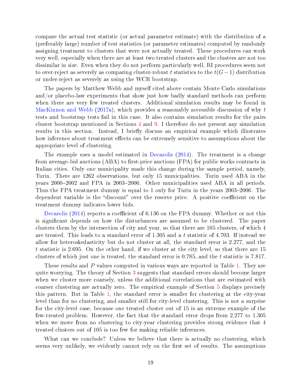compare the actual test statistic (or actual parameter estimate) with the distribution of a (preferably large) number of test statistics (or parameter estimates) computed by randomly assigning treatment to clusters that were not actually treated. These procedures can work very well, especially when there are at least two treated clusters and the clusters are not too dissimilar in size. Even when they do not perform particularly well, RI procedures seem not to over-reject as severely as comparing cluster-robust t statistics to the  $t(G-1)$  distribution or under-reject as severely as using the WCR bootstrap.

The papers by Matthew Webb and myself cited above contain Monte Carlo simulations and/or placebo-law experiments that show just how badly standard methods can perform when there are very few treated clusters. Additional simulation results may be found in [MacKinnon and Webb](#page-28-7) [\(2017a\)](#page-28-7), which provides a reasonably accessible discussion of why t tests and bootstrap tests fail in this case. It also contains simulation results for the pairs cluster bootstrap mentioned in Sections [4](#page-7-0) and [9.](#page-23-0) I therefore do not present any simulation results in this section. Instead, I briefly discuss an empirical example which illustrates how inference about treatment effects can be extremely sensitive to assumptions about the appropriate level of clustering.

The example uses a model estimated in [Decarolis](#page-28-12) [\(2014\)](#page-28-12). The treatment is a change from average-bid auctions  $(ABA)$  to first-price auctions  $(FPA)$  for public works contracts in Italian cities. Only one municipality made this change during the sample period, namely, Turin. There are 1262 observations, but only 15 municipalities. Turin used ABA in the years 2000–2002 and FPA in 2003–2006. Other municipalities used ABA in all periods. Thus the FPA treatment dummy is equal to 1 only for Turin in the years 2003–2006. The dependent variable is the "discount" over the reserve price. A positive coefficient on the treatment dummy indicates lower bids.

[Decarolis](#page-28-12) [\(2014\)](#page-28-12) reports a coefficient of 6.136 on the FPA dummy. Whether or not this is significant depends on how the disturbances are assumed to be clustered. The paper clusters them by the intersection of city and year, so that there are 105 clusters, of which 4 are treated. This leads to a standard error of  $1.305$  and a t statistic of 4.703. If instead we allow for heteroskedasticity but do not cluster at all, the standard error is 2.277, and the t statistic is 2.695. On the other hand, if we cluster at the city level, so that there are 15 clusters of which just one is treated, the standard error is 0.785, and the t statistic is 7.817.

These results and P values computed in various ways are reported in Table [1.](#page-20-1) They are quite worrying. The theory of Section [3](#page-5-0) suggests that standard errors should become larger when we cluster more coarsely, unless the additional correlations that are estimated with coarser clustering are actually zero. The empirical example of Section [5](#page-11-0) displays precisely this pattern. But in Table [1,](#page-20-1) the standard error is smaller for clustering at the city-year level than for no clustering, and smaller still for city-level clustering. This is not a surprise for the city-level case, because one treated cluster out of 15 is an extreme example of the few-treated problem. However, the fact that the standard error drops from 2.277 to 1.305 when we move from no clustering to city-year clustering provides strong evidence that 4 treated clusters out of 105 is too few for making reliable inferences.

What can we conclude? Unless we believe that there is actually no clustering, which seems very unlikely, we evidently cannot rely on the first set of results. The assumptions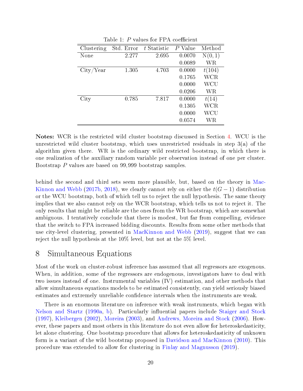| Clustering | Std. Error | $t$ Statistic | $P$ Value | Method  |
|------------|------------|---------------|-----------|---------|
| None       | 2.277      | 2.695         | 0.0070    | N(0, 1) |
|            |            |               | 0.0089    | WR      |
| City/Year  | 1.305      | 4.703         | 0.0000    | t(104)  |
|            |            |               | 0.1765    | WCR     |
|            |            |               | 0.0000    | WCU     |
|            |            |               | 0.0206    | WR      |
| City       | 0.785      | 7.817         | 0.0000    | t(14)   |
|            |            |               | 0.1305    | WCR     |
|            |            |               | 0.0000    | WCU     |
|            |            |               | 0.0574    | WR      |

<span id="page-20-1"></span>Table 1:  $P$  values for FPA coefficient

Notes: WCR is the restricted wild cluster bootstrap discussed in Section [4.](#page-7-0) WCU is the unrestricted wild cluster bootstrap, which uses unrestricted residuals in step 3(a) of the algorithm given there. WR is the ordinary wild restricted bootstrap, in which there is one realization of the auxiliary random variable per observation instead of one per cluster. Bootstrap P values are based on 99,999 bootstrap samples.

behind the second and third sets seem more plausible, but, based on the theory in [Mac-](#page-28-4)[Kinnon and Webb](#page-28-4) [\(2017b,](#page-28-4) [2018\)](#page-28-2), we clearly cannot rely on either the  $t(G - 1)$  distribution or the WCU bootstrap, both of which tell us to reject the null hypothesis. The same theory implies that we also cannot rely on the WCR bootstrap, which tells us not to reject it. The only results that might be reliable are the ones from the WR bootstrap, which are somewhat ambiguous. I tentatively conclude that there is modest, but far from compelling, evidence that the switch to FPA increased bidding discounts. Results from some other methods that use city-level clustering, presented in [MacKinnon and Webb](#page-29-4) [\(2019\)](#page-29-4), suggest that we can reject the null hypothesis at the 10% level, but not at the 5% level.

#### <span id="page-20-0"></span>8 Simultaneous Equations

Most of the work on cluster-robust inference has assumed that all regressors are exogenous. When, in addition, some of the regressors are endogenous, investigators have to deal with two issues instead of one. Instrumental variables (IV) estimation, and other methods that allow simultaneous equations models to be estimated consistently, can yield seriously biased estimates and extremely unreliable confidence intervals when the instruments are weak.

There is an enormous literature on inference with weak instruments, which began with [Nelson and Startz](#page-29-10) [\(1990a,](#page-29-10) [b\)](#page-29-11). Particularly influential papers include [Staiger and Stock](#page-29-12) [\(1997\)](#page-29-12), [Kleibergen](#page-28-13) [\(2002\)](#page-28-13), [Moreira](#page-29-13) [\(2003\)](#page-29-13), and [Andrews, Moreira and Stock](#page-27-12) [\(2006\)](#page-27-12). However, these papers and most others in this literature do not even allow for heteroskedasticity, let alone clustering. One bootstrap procedure that allows for heteroskedasticity of unknown form is a variant of the wild bootstrap proposed in [Davidson and MacKinnon](#page-27-13) [\(2010\)](#page-27-13). This procedure was extended to allow for clustering in [Finlay and Magnusson](#page-28-14) [\(2019\)](#page-28-14).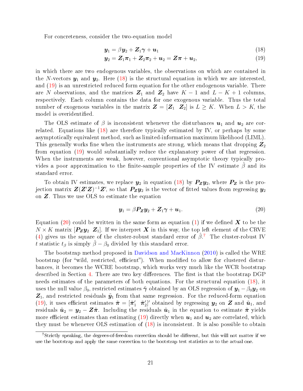For concreteness, consider the two-equation model

<span id="page-21-1"></span><span id="page-21-0"></span>
$$
\mathbf{y}_1 = \beta \mathbf{y}_2 + \mathbf{Z}_1 \boldsymbol{\gamma} + \mathbf{u}_1 \tag{18}
$$

$$
y_2 = Z_1 \pi_1 + Z_2 \pi_2 + u_2 = Z \pi + u_2, \tag{19}
$$

in which there are two endogenous variables, the observations on which are contained in the N-vectors  $y_1$  and  $y_2$ . Here [\(18\)](#page-21-0) is the structural equation in which we are interested, and [\(19\)](#page-21-1) is an unrestricted reduced form equation for the other endogenous variable. There are N observations, and the matrices  $\mathbb{Z}_1$  and  $\mathbb{Z}_2$  have  $K-1$  and  $L-K+1$  columns, respectively. Each column contains the data for one exogenous variable. Thus the total number of exogenous variables in the matrix  $\mathbf{Z} = [\mathbf{Z}_1 \ \mathbf{Z}_2]$  is  $L \geq K$ . When  $L > K$ , the model is overidentified.

The OLS estimate of  $\beta$  is inconsistent whenever the disturbances  $u_1$  and  $u_2$  are correlated. Equations like [\(18\)](#page-21-0) are therefore typically estimated by IV, or perhaps by some asymptotically equivalent method, such as limited-information maximum likelihood (LIML). This generally works fine when the instruments are strong, which means that dropping  $Z_2$ from equation [\(19\)](#page-21-1) would substantially reduce the explanatory power of that regression. When the instruments are weak, however, conventional asymptotic theory typically provides a poor approximation to the finite-sample properties of the IV estimate  $\hat{\beta}$  and its standard error.

To obtain IV estimates, we replace  $y_2$  in equation [\(18\)](#page-21-0) by  $P_Zy_2$ , where  $P_Z$  is the projection matrix  $\pmb{Z}(\pmb{Z}'\pmb{Z})^{-1}\pmb{Z}'$ , so that  $\pmb{P}_{\pmb{Z}}\pmb{y}_2$  is the vector of fitted values from regressing  $\pmb{y}_2$ on Z. Thus we use OLS to estimate the equation

<span id="page-21-2"></span>
$$
\mathbf{y}_1 = \beta \mathbf{P}_\mathbf{Z} \mathbf{y}_2 + \mathbf{Z}_1 \boldsymbol{\gamma} + \mathbf{u}_1. \tag{20}
$$

Equation [\(20\)](#page-21-2) could be written in the same form as equation [\(1\)](#page-3-1) if we defined  $\bm{X}$  to be the  $N \times K$  matrix  $[P_{Z}y_2 Z_1]$ . If we interpret X in this way, the top left element of the CRVE [\(4\)](#page-3-3) gives us the square of the cluster-robust standard error of  $\hat{\beta}$ .<sup>[7](#page-21-3)</sup> The cluster-robust IV t statistic  $t_\beta$  is simply  $\hat{\beta} - \beta_0$  divided by this standard error.

The bootstrap method proposed in [Davidson and MacKinnon](#page-27-13) [\(2010\)](#page-27-13) is called the WRE bootstrap (for "wild, restricted, efficient"). When modified to allow for clustered disturbances, it becomes the WCRE bootstrap, which works very much like the WCR bootstrap described in Section [4.](#page-7-0) There are two key differences. The first is that the bootstrap  $\rm DGP$ needs estimates of the parameters of both equations. For the structural equation [\(18\)](#page-21-0), it uses the null value  $\beta_0$ , restricted estimates  $\tilde{\gamma}$  obtained by an OLS regression of  $y_1 - \beta_0 y_2$  on  $\mathbf{Z}_1$ , and restricted residuals  $\tilde{\mathbf{y}}_1$  from that same regression. For the reduced-form equation [\(19\)](#page-21-1), it uses efficient estimates  $\tilde{\pi} = [\tilde{\pi}'_1 \ \tilde{\pi}'_2]'$  obtained by regressing  $y_2$  on Z and  $\tilde{u}_1$ , and residuals  $\tilde{\bm{u}}_2 = \bm{y}_2 - \bm{Z}\tilde{\bm{\pi}}$ . Including the residuals  $\tilde{\bm{u}}_1$  in the equation to estimate  $\tilde{\bm{\pi}}$  yields more efficient estimates than estimating [\(19\)](#page-21-1) directly when  $u_1$  and  $u_2$  are correlated, which they must be whenever OLS estimation of [\(18\)](#page-21-0) is inconsistent. It is also possible to obtain

<span id="page-21-3"></span><sup>&</sup>lt;sup>7</sup>Strictly speaking, the degrees-of-freedom correction should be different, but this will not matter if we use the bootstrap and apply the same correction to the bootstrap test statistics as to the actual one.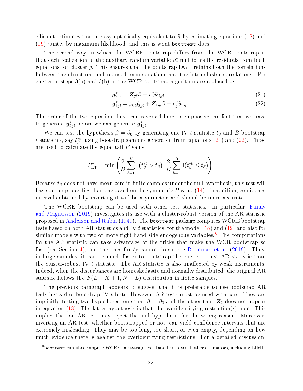efficient estimates that are asymptotically equivalent to  $\tilde{\pi}$  by estimating equations [\(18\)](#page-21-0) and [\(19\)](#page-21-1) jointly by maximum likelihood, and this is what boottest does.

The second way in which the WCRE bootstrap differs from the WCR bootstrap is that each realization of the auxiliary random variable  $v_g^*$  multiplies the residuals from both equations for cluster  $g$ . This ensures that the bootstrap DGP retains both the correlations between the structural and reduced-form equations and the intra-cluster correlations. For cluster g, steps  $3(a)$  and  $3(b)$  in the WCR bootstrap algorithm are replaced by

<span id="page-22-1"></span><span id="page-22-0"></span>
$$
\boldsymbol{y}_{2gi}^* = \boldsymbol{Z}_{gi}\tilde{\boldsymbol{\pi}} + v_g^*\tilde{\boldsymbol{u}}_{2gi},\tag{21}
$$

$$
\mathbf{y}_{1gi}^* = \beta_0 \mathbf{y}_{2gi}^* + \mathbf{Z}_{1gi} \tilde{\boldsymbol{\gamma}} + v_g^* \tilde{\boldsymbol{u}}_{1gi}.
$$
 (22)

The order of the two equations has been reversed here to emphasize the fact that we have to generate  $\bm{y}_{2gi}^*$  before we can generate  $\bm{y}_{1gi}^*$ .

We can test the hypothesis  $\beta = \beta_0$  by generating one IV t statistic  $t_\beta$  and B bootstrap t statistics, say  $t^{*b}_{\beta}$ , using bootstrap samples generated from equations [\(21\)](#page-22-0) and [\(22\)](#page-22-1). These are used to calculate the equal-tail P value

$$
\hat{P}_{\text{ET}}^* = \min \left( \frac{2}{B} \sum_{b=1}^B \mathbb{I} \left( t_{\beta}^{*b} > t_{\beta} \right), \frac{2}{B} \sum_{b=1}^B \mathbb{I} \left( t_{\beta}^{*b} \leq t_{\beta} \right) \right).
$$

Because  $t_\beta$  does not have mean zero in finite samples under the null hypothesis, this test will have better properties than one based on the symmetric  $P$  value  $(14)$ . In addition, confidence intervals obtained by inverting it will be asymmetric and should be more accurate.

The WCRE bootstrap can be used with other test statistics. In particular, [Finlay](#page-28-14) [and Magnusson](#page-28-14) [\(2019\)](#page-28-14) investigates its use with a cluster-robust version of the AR statistic proposed in [Anderson and Rubin](#page-27-14) [\(1949\)](#page-27-14). The boottest package computes WCRE bootstrap tests based on both AR statistics and IV t statistics, for the model  $(18)$  and  $(19)$  and also for similar models with two or more right-hand-side endogenous variables.<sup>[8](#page-22-2)</sup> The computations for the AR statistic can take advantage of the tricks that make the WCR bootstrap so fast (see Section [4\)](#page-7-0), but the ones for  $t_\beta$  cannot do so; see [Roodman et al.](#page-29-6) [\(2019\)](#page-29-6). Thus, in large samples, it can be much faster to bootstrap the cluster-robust AR statistic than the cluster-robust IV  $t$  statistic. The AR statistic is also unaffected by weak instruments. Indeed, when the disturbances are homoskedastic and normally distributed, the original AR statistic follows the  $F(L - K + 1, N - L)$  distribution in finite samples.

The previous paragraph appears to suggest that it is preferable to use bootstrap AR tests instead of bootstrap IV t tests. However, AR tests must be used with care. They are implicitly testing two hypotheses, one that  $\beta = \beta_0$  and the other that  $\mathbb{Z}_2$  does not appear in equation [\(18\)](#page-21-0). The latter hypothesis is that the overidentifying restriction(s) hold. This implies that an AR test may reject the null hypothesis for the wrong reason. Moreover, inverting an AR test, whether bootstrapped or not, can yield confidence intervals that are extremely misleading. They may be too long, too short, or even empty, depending on how much evidence there is against the overidentifying restrictions. For a detailed discussion,

<span id="page-22-2"></span><sup>8</sup>boottest can also compute WCRE bootstrap tests based on several other estimators, including LIML.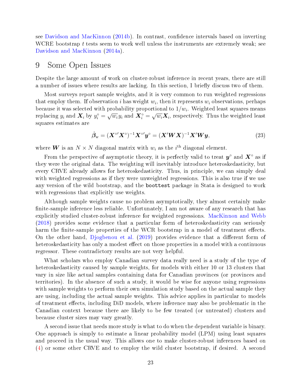see [Davidson and MacKinnon](#page-28-15) [\(2014b\)](#page-28-15). In contrast, confidence intervals based on inverting WCRE bootstrap  $t$  tests seem to work well unless the instruments are extremely weak; see [Davidson and MacKinnon](#page-27-15) [\(2014a\)](#page-27-15).

#### <span id="page-23-0"></span>9 Some Open Issues

Despite the large amount of work on cluster-robust inference in recent years, there are still a number of issues where results are lacking. In this section, I briefly discuss two of them.

Most surveys report sample weights, and it is very common to run weighted regressions that employ them. If observation i has weight  $w_i$ , then it represents  $w_i$  observations, perhaps because it was selected with probability proportional to  $1/w_i.$  Weighted least squares means replacing  $y_i$  and  $\bm{X}_i$  by  $y_i^{\circ} = \sqrt{w_i} y_i$  and  $\bm{X}_i^{\circ} = \sqrt{w_i} \bm{X}_i$ , respectively. Thus the weighted least squares estimates are

$$
\hat{\beta}_{\mathbf{w}} = (\mathbf{X}^{\circ \prime} \mathbf{X}^{\circ})^{-1} \mathbf{X}^{\circ \prime} \mathbf{y}^{\circ} = (\mathbf{X}' \mathbf{W} \mathbf{X})^{-1} \mathbf{X}' \mathbf{W} \mathbf{y},\tag{23}
$$

where **W** is an  $N \times N$  diagonal matrix with  $w_i$  as the  $i^{\text{th}}$  diagonal element.

From the perspective of asymptotic theory, it is perfectly valid to treat  $y^{\circ}$  and  $X^{\circ}$  as if they were the original data. The weighting will inevitably introduce heteroskedasticity, but every CRVE already allows for heteroskedasticity. Thus, in principle, we can simply deal with weighted regressions as if they were unweighted regressions. This is also true if we use any version of the wild bootstrap, and the boottest package in Stata is designed to work with regressions that explicitly use weights.

Although sample weights cause no problem asymptotically, they almost certainly make finite-sample inference less reliable. Unfortunately, I am not aware of any research that has explicitly studied cluster-robust inference for weighted regressions. [MacKinnon and Webb](#page-28-2) [\(2018\)](#page-28-2) provides some evidence that a particular form of heteroskedasticity can seriously harm the finite-sample properties of the WCR bootstrap in a model of treatment effects. On the other hand, [Djogbenou et al.](#page-28-3) [\(2019\)](#page-28-3) provides evidence that a different form of heteroskedasticity has only a modest effect on those properties in a model with a continuous regressor. These contradictory results are not very helpful.

What scholars who employ Canadian survey data really need is a study of the type of heteroskedasticity caused by sample weights, for models with either 10 or 13 clusters that vary in size like actual samples containing data for Canadian provinces (or provinces and territories). In the absence of such a study, it would be wise for anyone using regressions with sample weights to perform their own simulation study based on the actual sample they are using, including the actual sample weights. This advice applies in particular to models of treatment effects, including DiD models, where inference may also be problematic in the Canadian context because there are likely to be few treated (or untreated) clusters and because cluster sizes may vary greatly.

A second issue that needs more study is what to do when the dependent variable is binary. One approach is simply to estimate a linear probability model (LPM) using least squares and proceed in the usual way. This allows one to make cluster-robust inferences based on [\(4\)](#page-3-3) or some other CRVE and to employ the wild cluster bootstrap, if desired. A second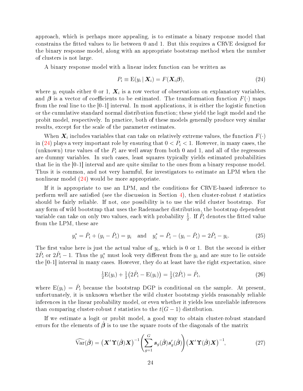approach, which is perhaps more appealing, is to estimate a binary response model that constrains the tted values to lie between 0 and 1. But this requires a CRVE designed for the binary response model, along with an appropriate bootstrap method when the number of clusters is not large.

A binary response model with a linear index function can be written as

<span id="page-24-0"></span>
$$
P_i \equiv \mathrm{E}(y_i \mid \boldsymbol{X}_i) = F(\boldsymbol{X}_i \boldsymbol{\beta}), \tag{24}
$$

where  $y_i$  equals either 0 or 1,  $\boldsymbol{X}_i$  is a row vector of observations on explanatory variables, and  $\beta$  is a vector of coefficients to be estimated. The transformation function  $F(\cdot)$  maps from the real line to the [0 -1] interval. In most applications, it is either the logistic function or the cumulative standard normal distribution function; these yield the logit model and the probit model, respectively. In practice, both of these models generally produce very similar results, except for the scale of the parameter estimates.

When  $\boldsymbol{X}_i$  includes variables that can take on relatively extreme values, the function  $F(\cdot)$ in [\(24\)](#page-24-0) plays a very important role by ensuring that  $0 < P<sub>i</sub> < 1$ . However, in many cases, the (unknown) true values of the  $P_i$  are well away from both 0 and 1, and all of the regressors are dummy variables. In such cases, least squares typically yields estimated probabilities that lie in the [0 -1] interval and are quite similar to the ones from a binary response model. Thus it is common, and not very harmful, for investigators to estimate an LPM when the nonlinear model [\(24\)](#page-24-0) would be more appropriate.

If it is appropriate to use an LPM, and the conditions for CRVE-based inference to perform well are satisfied (see the discussion in Section [4\)](#page-7-0), then cluster-robust t statistics should be fairly reliable. If not, one possibility is to use the wild cluster bootstrap. For any form of wild bootstrap that uses the Rademacher distribution, the bootstrap dependent variable can take on only two values, each with probability  $\frac{1}{2}$ . If  $\hat{P}_i$  denotes the fitted value from the LPM, these are

$$
y_i^* = \hat{P}_i + (y_i - \hat{P}_i) = y_i \text{ and } y_i^* = \hat{P}_i - (y_i - \hat{P}_i) = 2\hat{P}_i - y_i.
$$
 (25)

The first value here is just the actual value of  $y_i$ , which is 0 or 1. But the second is either  $2\hat{P}_i$  or  $2\hat{P}_i - 1$ . Thus the  $y_i^*$  must look very different from the  $y_i$  and are sure to lie outside the [0-1] interval in many cases. However, they do at least have the right expectation, since

$$
\frac{1}{2}E(y_i) + \frac{1}{2}(2\hat{P}_i - E(y_i)) = \frac{1}{2}(2\hat{P}_i) = \hat{P}_i,
$$
\n(26)

where  $E(y_i) = \hat{P}_i$  because the bootstrap DGP is conditional on the sample. At present, unfortunately, it is unknown whether the wild cluster bootstrap yields reasonably reliable inferences in the linear probability model, or even whether it yields less unreliable inferences than comparing cluster-robust t statistics to the  $t(G-1)$  distribution.

If we estimate a logit or probit model, a good way to obtain cluster-robust standard errors for the elements of  $\beta$  is to use the square roots of the diagonals of the matrix

<span id="page-24-1"></span>
$$
\widehat{\text{Var}}(\hat{\boldsymbol{\beta}}) = \left(\mathbf{X}'\,\mathbf{\hat{Y}}(\hat{\boldsymbol{\beta}})\mathbf{X}\right)^{-1} \left(\sum_{g=1}^{G} s_g(\hat{\boldsymbol{\beta}}) s'_g(\hat{\boldsymbol{\beta}})\right) \left(\mathbf{X}'\,\mathbf{\hat{Y}}(\hat{\boldsymbol{\beta}})\mathbf{X}\right)^{-1},\tag{27}
$$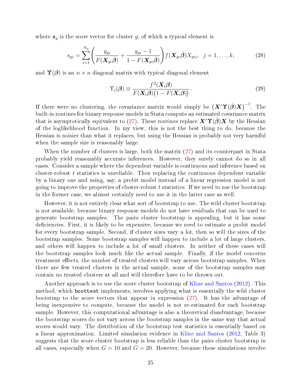where  $s_g$  is the score vector for cluster g, of which a typical element is

$$
s_{gj} = \sum_{i=1}^{N_g} \left( \frac{y_{gi}}{F(\boldsymbol{X}_{gi}\boldsymbol{\hat{\beta}})} + \frac{y_{gi} - 1}{1 - F(\boldsymbol{X}_{gi}\boldsymbol{\hat{\beta}})} \right) f(\boldsymbol{X}_{gi}\boldsymbol{\hat{\beta}}) X_{gij}, \ \ j = 1, \dots, k,
$$
 (28)

and  $\Upsilon(\beta)$  is an  $n \times n$  diagonal matrix with typical diagonal element

$$
\Upsilon_i(\boldsymbol{\beta}) \equiv \frac{f^2(\boldsymbol{X}_i \boldsymbol{\beta})}{F(\boldsymbol{X}_i \boldsymbol{\beta}) \big(1 - F(\boldsymbol{X}_i \boldsymbol{\beta})\big)}.
$$
\n(29)

If there were no clustering, the covariance matrix would simply be  $\left(\bm{X}'\bm{\Upsilon}(\hat{\boldsymbol{\beta}})\bm{X}\right)^{-1}$ . The built-in routines for binary response models in Stata compute an estimated covariance matrix that is asymptotically equivalent to [\(27\)](#page-24-1). These routines replace  $X'(\mathcal{T}(\beta)X)$  by the Hessian of the loglikelihood function. In my view, this is not the best thing to do, because the Hessian is noisier than what it replaces, but using the Hessian is probably not very harmful when the sample size is reasonably large.

When the number of clusters is large, both the matrix [\(27\)](#page-24-1) and its counterpart in Stata probably yield reasonably accurate inferences. However, they surely cannot do so in all cases. Consider a sample where the dependent variable is continuous and inference based on cluster-robust  $t$  statistics is unreliable. Then replacing the continuous dependent variable by a binary one and using, say, a probit model instead of a linear regression model is not going to improve the properties of cluster-robust  $t$  statistics. If we need to use the bootstrap in the former case, we almost certainly need to use it in the latter case as well.

However, it is not entirely clear what sort of bootstrap to use. The wild cluster bootstrap is not available, because binary response models do not have residuals that can be used to generate bootstrap samples. The pairs cluster bootstrap is appealing, but it has some deficiencies. First, it is likely to be expensive, because we need to estimate a probit model for every bootstrap sample. Second, if cluster sizes vary a lot, then so will the sizes of the bootstrap samples. Some bootstrap samples will happen to include a lot of large clusters, and others will happen to include a lot of small clusters. In neither of these cases will the bootstrap samples look much like the actual sample. Finally, if the model concerns treatment effects, the number of treated clusters will vary across bootstrap samples. When there are few treated clusters in the actual sample, some of the bootstrap samples may contain no treated clusters at all and will therefore have to be thrown out.

Another approach is to use the score cluster bootstrap of [Kline and Santos](#page-28-16) [\(2012\)](#page-28-16). This method, which boottest implements, involves applying what is essentially the wild cluster bootstrap to the score vectors that appear in expression [\(27\)](#page-24-1). It has the advantage of being inexpensive to compute, because the model is not re-estimated for each bootstrap sample. However, this computational advantage is also a theoretical disadvantage, because the bootstrap scores do not vary across the bootstrap samples in the same way that actual scores would vary. The distribution of the bootstrap test statistics is essentially based on a linear approximation. Limited simulation evidence in [Kline and Santos](#page-28-16) [\(2012,](#page-28-16) Table 3) suggests that the score cluster bootstrap is less reliable than the pairs cluster bootstrap in all cases, especially when  $G = 10$  and  $G = 20$ . However, because these simulations involve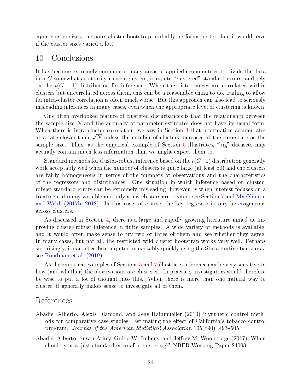equal cluster sizes, the pairs cluster bootstrap probably performs better than it would have if the cluster sizes varied a lot.

#### <span id="page-26-0"></span>10 Conclusions

It has become extremely common in many areas of applied econometrics to divide the data into  $G$  somewhat arbitrarily chosen clusters, compute "clustered" standard errors, and rely on the  $t(G-1)$  distribution for inference. When the disturbances are correlated within clusters but uncorrelated across them, this can be a reasonable thing to do. Failing to allow for intra-cluster correlation is often much worse. But this approach can also lead to seriously misleading inferences in many cases, even when the appropriate level of clustering is known.

One often overlooked feature of clustered disturbances is that the relationship between the sample size N and the accuracy of parameter estimates does not have its usual form. When there is intra-cluster correlation, we saw in Section [3](#page-5-0) that information accumulates when there is intra ensity correlation, we saw in section 5 that information accumulates at a rate slower than  $\sqrt{N}$  unless the number of clusters increases at the same rate as the sample size. Thus, as the empirical example of Section  $5$  illustrates, "big" datasets may actually contain much less information than we might expect them to.

Standard methods for cluster-robust inference based on the  $t(G-1)$  distribution generally work acceptably well when the number of clusters is quite large (at least 50) and the clusters are fairly homogeneous in terms of the numbers of observations and the characteristics of the regressors and disturbances. One situation in which inference based on clusterrobust standard errors can be extremely misleading, however, is when interest focuses on a treatment dummy variable and only a few clusters are treated; see Section [7](#page-17-0) and [MacKinnon](#page-28-4) [and Webb](#page-28-4) [\(2017b,](#page-28-4) [2018\)](#page-28-2). In this case, of course, the key regressor is very heterogeneous across clusters.

As discussed in Section [4,](#page-7-0) there is a large and rapidly growing literature aimed at improving cluster-robust inference in finite samples. A wide variety of methods is available, and it would often make sense to try two or three of them and see whether they agree. In many cases, but not all, the restricted wild cluster bootstrap works very well. Perhaps surprisingly, it can often be computed remarkably quickly using the Stata routine boottest; see [Roodman et al.](#page-29-6) [\(2019\)](#page-29-6).

As the empirical examples of Sections [5](#page-11-0) and [7](#page-17-0) illustrate, inference can be very sensitive to how (and whether) the observations are clustered. In practice, investigators would therefore be wise to put a lot of thought into this. When there is more than one natural way to cluster, it generally makes sense to investigate all of them.

#### References

- <span id="page-26-2"></span>Abadie, Alberto, Alexis Diamond, and Jens Hainmueller (2010) `Synthetic control methods for comparative case studies: Estimating the effect of California's tobacco control program.' Journal of the American Statistical Association 105(490), 493-505
- <span id="page-26-1"></span>Abadie, Alberto, Susan Athey, Guido W. Imbens, and Jeffrey M. Wooldridge (2017) 'When should you adjust standard errors for clustering?' NBER Working Paper 24003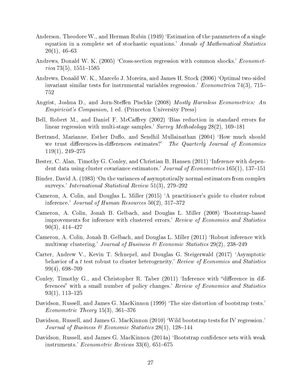- <span id="page-27-14"></span>Anderson, Theodore W., and Herman Rubin (1949) 'Estimation of the parameters of a single equation in a complete set of stochastic equations.' Annals of Mathematical Statistics  $20(1), 46-63$
- <span id="page-27-3"></span>Andrews, Donald W. K. (2005) 'Cross-section regression with common shocks.' *Economet* $rica 73(5), 1551-1585$
- <span id="page-27-12"></span>Andrews, Donald W. K., Marcelo J. Moreira, and James H. Stock (2006) `Optimal two-sided invariant similar tests for instrumental variables regression.' *Econometrica* 74(3), 715– 752
- <span id="page-27-4"></span>Angrist, Joshua D., and Jorn-Steffen Pischke (2008) Mostly Harmless Econometrics: An Empiricist's Companion, 1 ed. (Princeton University Press)
- <span id="page-27-1"></span>Bell, Robert M., and Daniel F. McCaffrey (2002) 'Bias reduction in standard errors for linear regression with multi-stage samples.'  $Survey$  Methodology 28(2), 169–181
- <span id="page-27-9"></span>Bertrand, Marianne, Esther Duflo, and Sendhil Mullainathan (2004) 'How much should we trust differences-in-differences estimates?' The Quarterly Journal of Economics  $119(1), 249 - 275$
- <span id="page-27-5"></span>Bester, C. Alan, Timothy G. Conley, and Christian B. Hansen (2011) 'Inference with dependent data using cluster covariance estimators.' Journal of Econometrics  $165(1)$ ,  $137-151$
- <span id="page-27-10"></span>Binder, David A. (1983) 'On the variances of asymptotically normal estimators from complex surveys.' International Statistical Review  $51(3)$ , 279–292
- <span id="page-27-0"></span>Cameron, A. Colin, and Douglas L. Miller (2015) `A practitioner's guide to cluster robust inference.' Journal of Human Resources  $50(2)$ ,  $317-372$
- <span id="page-27-7"></span>Cameron, A. Colin, Jonah B. Gelbach, and Douglas L. Miller (2008) `Bootstrap-based improvements for inference with clustered errors.' Review of Economics and Statistics  $90(3)$ , 414–427
- <span id="page-27-2"></span>Cameron, A. Colin, Jonah B. Gelbach, and Douglas L. Miller (2011) `Robust inference with multiway clustering.' Journal of Business  $\mathcal C$  Economic Statistics 29(2), 238–249
- <span id="page-27-6"></span>Carter, Andrew V., Kevin T. Schnepel, and Douglas G. Steigerwald (2017) `Asymptotic behavior of a t test robust to cluster heterogeneity.' Review of Economics and Statistics  $99(4)$ , 698-709
- <span id="page-27-11"></span>Conley, Timothy G., and Christopher R. Taber  $(2011)$  'Inference with "difference in differences" with a small number of policy changes.' Review of Economics and Statistics  $93(1), 113-125$
- <span id="page-27-8"></span>Davidson, Russell, and James G. MacKinnon (1999) 'The size distortion of bootstrap tests.' Econometric Theory  $15(3)$ ,  $361-376$
- <span id="page-27-13"></span>Davidson, Russell, and James G. MacKinnon (2010) 'Wild bootstrap tests for IV regression. Journal of Business & Economic Statistics  $28(1)$ , 128-144
- <span id="page-27-15"></span>Davidson, Russell, and James G. MacKinnon (2014a) 'Bootstrap confidence sets with weak instruments.' *Econometric Reviews*  $33(6)$ ,  $651-675$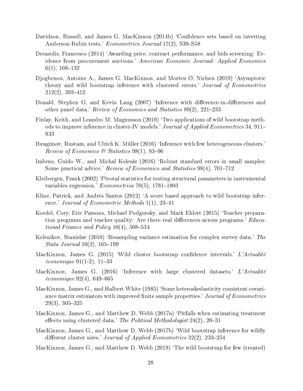- <span id="page-28-15"></span>Davidson, Russell, and James G. MacKinnon (2014b) 'Confidence sets based on inverting Anderson-Rubin tests.' Econometrics Journal 17(2), S39-S58
- <span id="page-28-12"></span>Decarolis, Francesco (2014) 'Awarding price, contract performance, and bids screening: Evidence from procurement auctions.' American Economic Journal: Applied Economics  $6(1), 108-132$
- <span id="page-28-3"></span>Djogbenou, Antoine A., James G. MacKinnon, and Morten Ø. Nielsen (2019) `Asymptotic theory and wild bootstrap inference with clustered errors.' Journal of Econometrics  $212(2)$ , 393-412
- <span id="page-28-5"></span>Donald, Stephen G, and Kevin Lang (2007) 'Inference with difference-in-differences and other panel data.' Review of Economics and Statistics  $89(2)$ ,  $221-233$
- <span id="page-28-14"></span>Finlay, Keith, and Leandro M. Magnusson (2019) `Two applications of wild bootstrap methods to improve inference in cluster-IV models.' Journal of Applied Econometrics 34, 911– 933
- <span id="page-28-9"></span>Ibragimov, Rustam, and Ulrich K. Müller (2016) `Inference with few heterogeneous clusters.' Review of Economics & Statistics  $98(1)$ ,  $83-96$
- <span id="page-28-1"></span>Imbens, Guido W., and Michal Kolesár (2016) 'Robust standard errors in small samples: Some practical advice.' Review of Economics and Statistics 98(4), 701-712
- <span id="page-28-13"></span>Kleibergen, Frank (2002) 'Pivotal statistics for testing structural parameters in instrumental variables regression.' *Econometrica* 70(5), 1781–1803
- <span id="page-28-16"></span>Kline, Patrick, and Andres Santos (2012) 'A score based approach to wild bootstrap inference.' Journal of Econometric Methods  $1(1)$ , 23-41
- <span id="page-28-10"></span>Koedel, Cory, Eric Parsons, Michael Podgursky, and Mark Ehlert (2015) `Teacher preparation programs and teacher quality: Are there real differences across programs.' Educational Finance and Policy  $10(4)$ , 508-534
- <span id="page-28-11"></span>Kolenikov, Stanislav (2010) 'Resampling variance estimation for complex survey data.' The  $Stata\ Journal\ 10(2),\ 165-199$
- <span id="page-28-6"></span>MacKinnon, James G. (2015) 'Wild cluster bootstrap confidence intervals.' L'Actualité  $économique 91(1-2), 11-33$
- <span id="page-28-8"></span>MacKinnon, James G.  $(2016)$  Inference with large clustered datasets.' L'Actualité  $économique 92(4), 649-665$
- <span id="page-28-0"></span>MacKinnon, James G., and Halbert White (1985) `Some heteroskedasticity consistent covariance matrix estimators with improved finite sample properties.' Journal of Econometrics  $29(3)$ ,  $305-325$
- <span id="page-28-7"></span>MacKinnon, James G., and Matthew D. Webb (2017a) 'Pitfalls when estimating treatment effects using clustered data.' The Political Methodologist  $24(2)$ ,  $20-31$
- <span id="page-28-4"></span>MacKinnon, James G., and Matthew D. Webb (2017b) `Wild bootstrap inference for wildly different cluster sizes.' Journal of Applied Econometrics  $32(2)$ ,  $233-254$
- <span id="page-28-2"></span>MacKinnon, James G., and Matthew D. Webb (2018) `The wild bootstrap for few (treated)